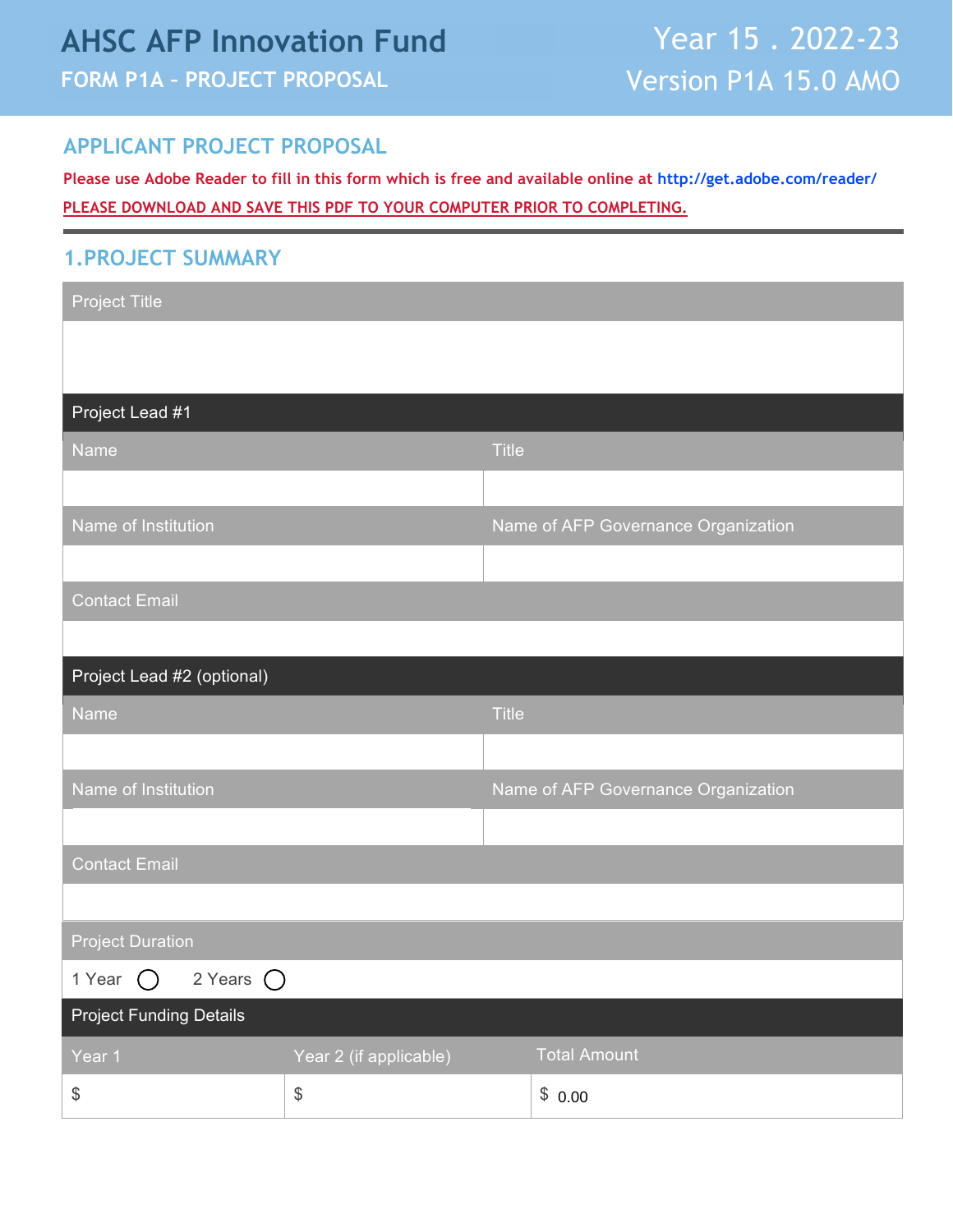# **AHSC AFP Innovation Fund FORM P1A – PROJECT PROPOSAL**

### **APPLICANT PROJECT PROPOSAL**

**Please use Adobe Reader to fill in this form which is free and available online at [http://get.adobe.com/reader/](https://get.adobe.com/reader/) PLEASE DOWNLOAD AND SAVE THIS PDF TO YOUR COMPUTER PRIOR TO COMPLETING.**

#### **1.PROJECT SUMMARY**

| <b>Project Title</b>                      |                                              |              |                                     |
|-------------------------------------------|----------------------------------------------|--------------|-------------------------------------|
|                                           |                                              |              |                                     |
|                                           |                                              |              |                                     |
| Project Lead #1                           |                                              |              |                                     |
| Name                                      |                                              | <b>Title</b> |                                     |
|                                           |                                              |              |                                     |
| Name of Institution                       |                                              |              | Name of AFP Governance Organization |
|                                           |                                              |              |                                     |
| <b>Contact Email</b>                      |                                              |              |                                     |
|                                           |                                              |              |                                     |
| Project Lead #2 (optional)                |                                              |              |                                     |
| <b>Name</b>                               |                                              | <b>Title</b> |                                     |
|                                           |                                              |              |                                     |
| Name of Institution                       |                                              |              | Name of AFP Governance Organization |
|                                           |                                              |              |                                     |
| <b>Contact Email</b>                      |                                              |              |                                     |
|                                           |                                              |              |                                     |
| <b>Project Duration</b>                   |                                              |              |                                     |
| 1 Year $\bigcirc$ 2 Years $\bigcirc$      |                                              |              |                                     |
| <b>Project Funding Details</b>            |                                              |              |                                     |
| Year 1                                    | Year 2 (if applicable)                       |              | <b>Total Amount</b>                 |
| $\, \, \raisebox{12pt}{$\scriptstyle \$}$ | $\, \, \raisebox{12pt}{$\scriptstyle\circ$}$ |              | \$0.00                              |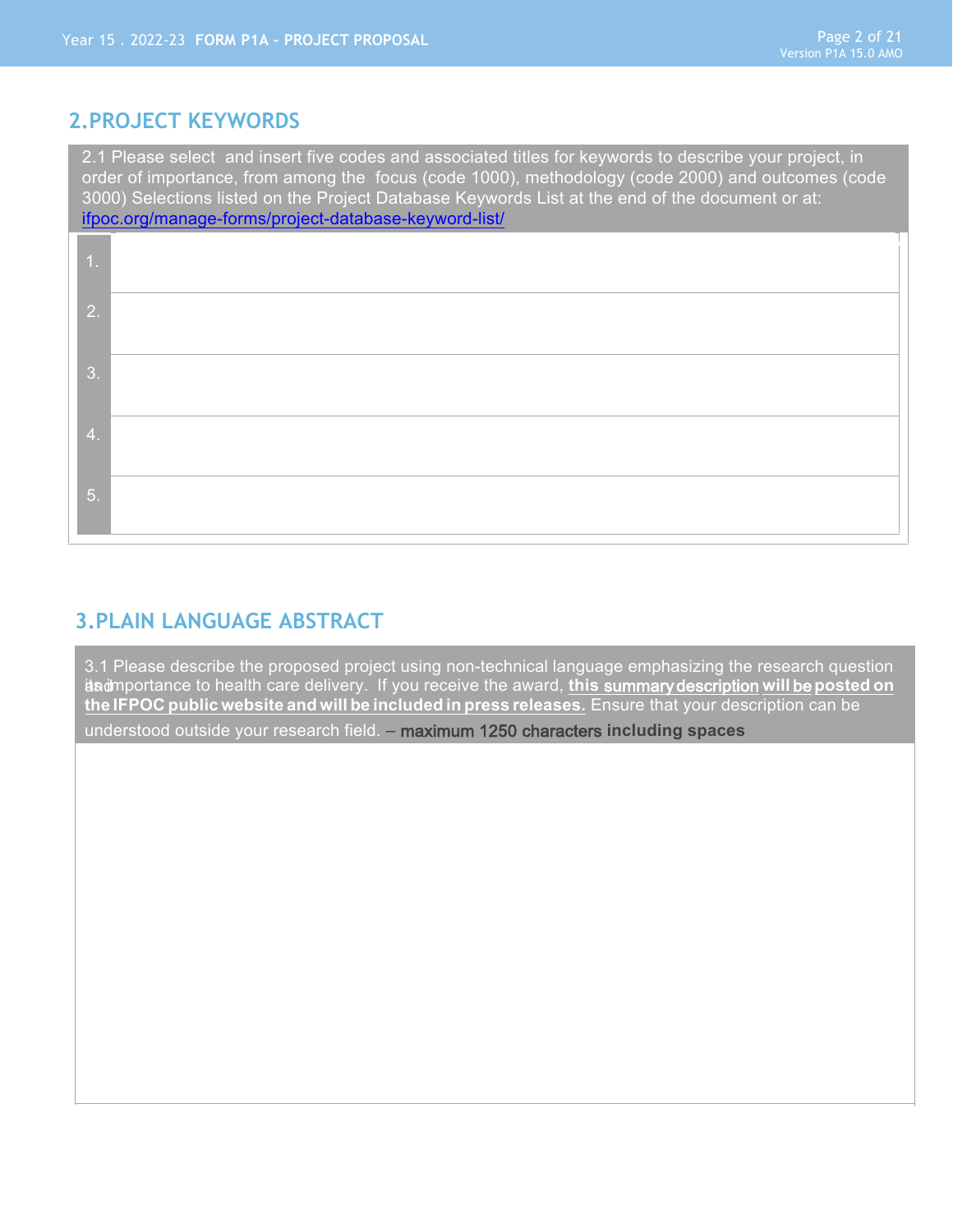### **2.PROJECT KEYWORDS**

2.1 Please select and insert five codes and associated titles for keywords to describe your project, in order of importance, from among the focus (code 1000), methodology (code 2000) and outcomes (code 3000) Selections listed on the Project Database Keywords List at the end of the document or at: [ifpoc.org/manage-forms/project-database-keyword-list/](https://ifpoc.org/manage-forms/project-database-keyword-list/)

| 47 |  |
|----|--|
| 2. |  |
| 3. |  |
| 4. |  |
| 5. |  |

## **3.PLAIN LANGUAGE ABSTRACT**

3.1 Please describe the proposed project using non-technical language emphasizing the research question its of mportance to health care delivery. If you receive the award, *this summary description will be posted on* **the IFPOC public website and will be included in press releases.** Ensure that your description can be understood outside your research field. – maximum 1250 characters **including spaces**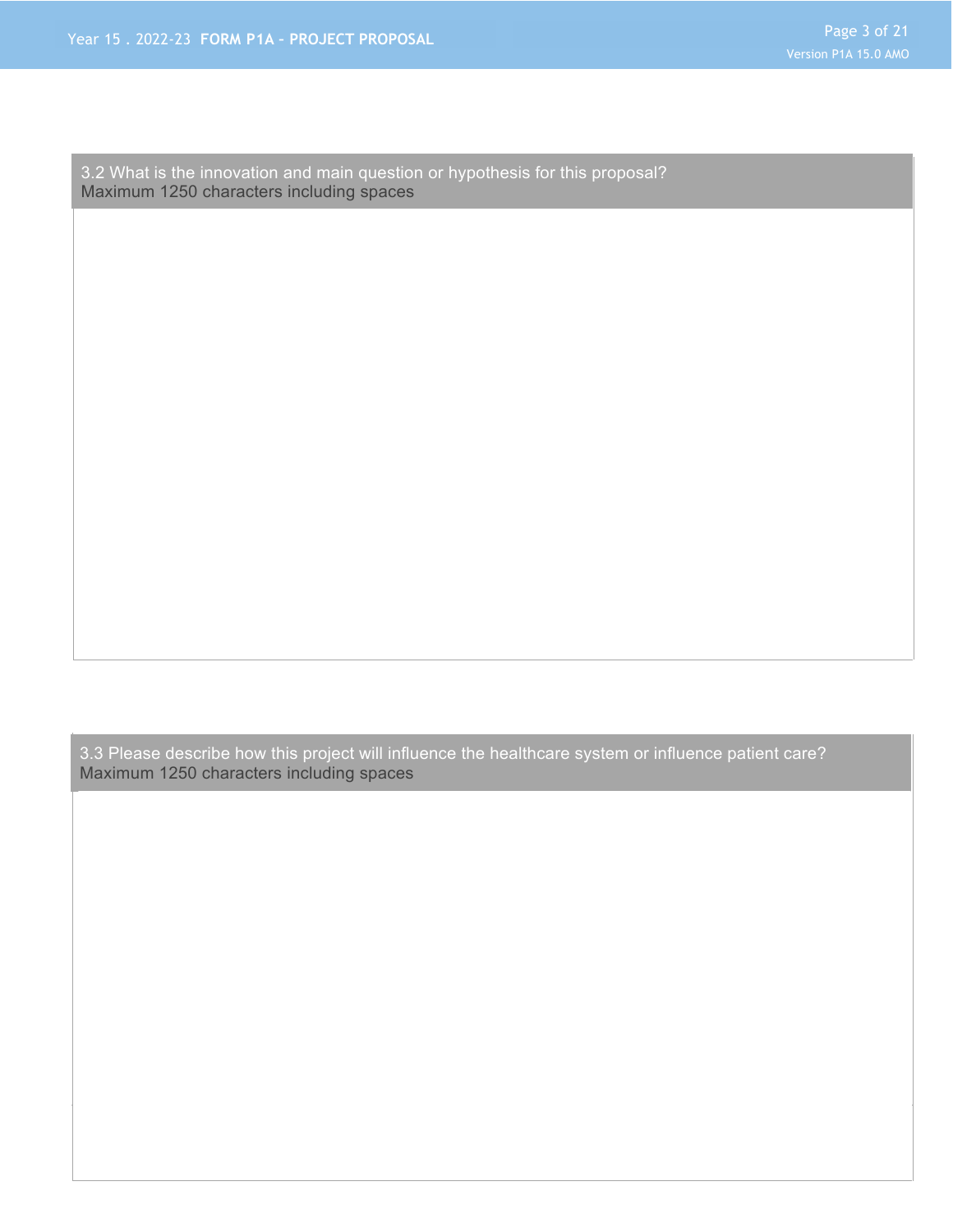3.2 What is the innovation and main question or hypothesis for this proposal? Maximum 1250 characters including spaces

3.3 Please describe how this project will influence the healthcare system or influence patient care? Maximum 1250 characters including spaces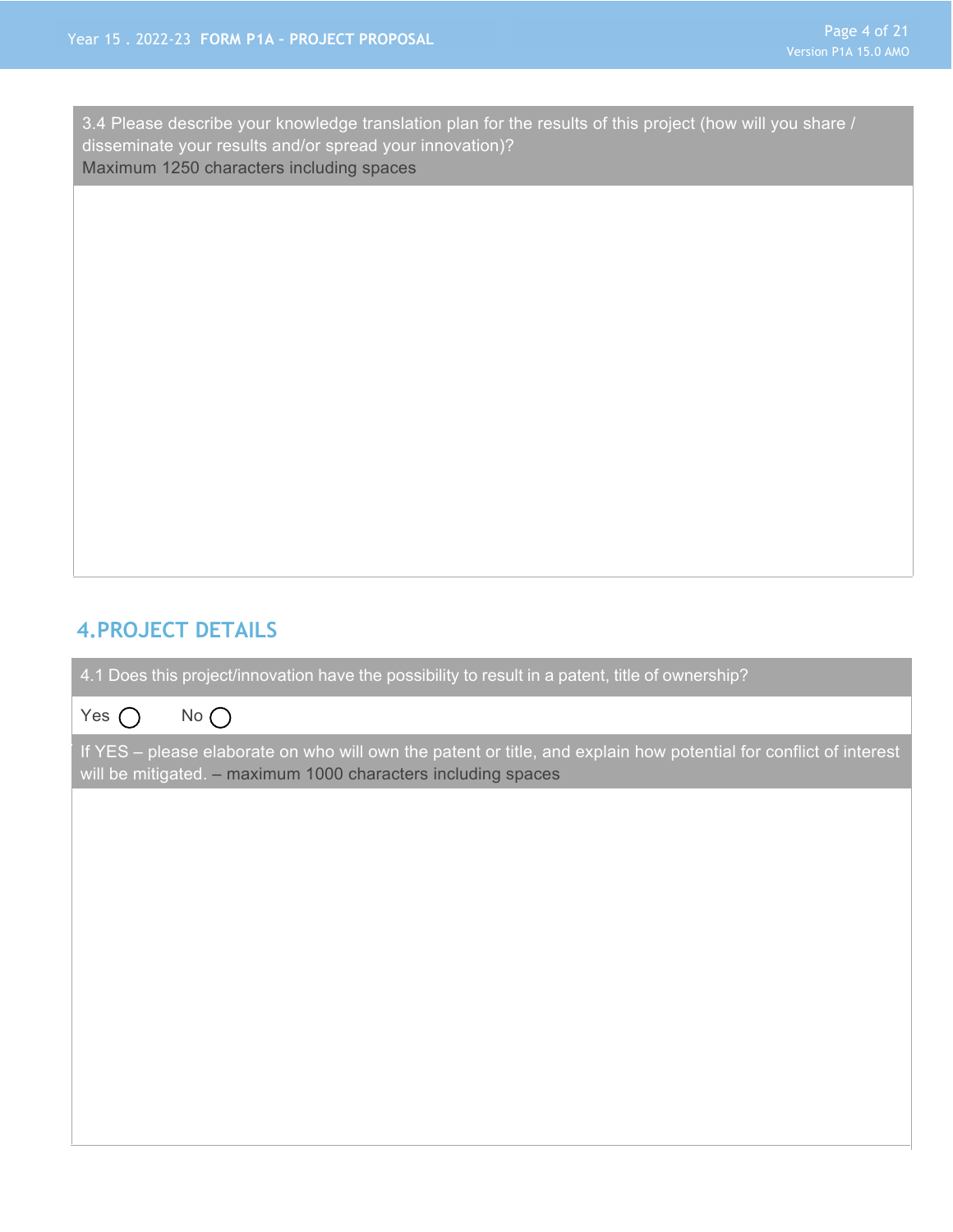3.4 Please describe your knowledge translation plan for the results of this project (how will you share / disseminate your results and/or spread your innovation)? Maximum 1250 characters including spaces

#### **4.PROJECT DETAILS**

4.1 Does this project/innovation have the possibility to result in a patent, title of ownership?



If YES – please elaborate on who will own the patent or title, and explain how potential for conflict of interest will be mitigated. – maximum 1000 characters including spaces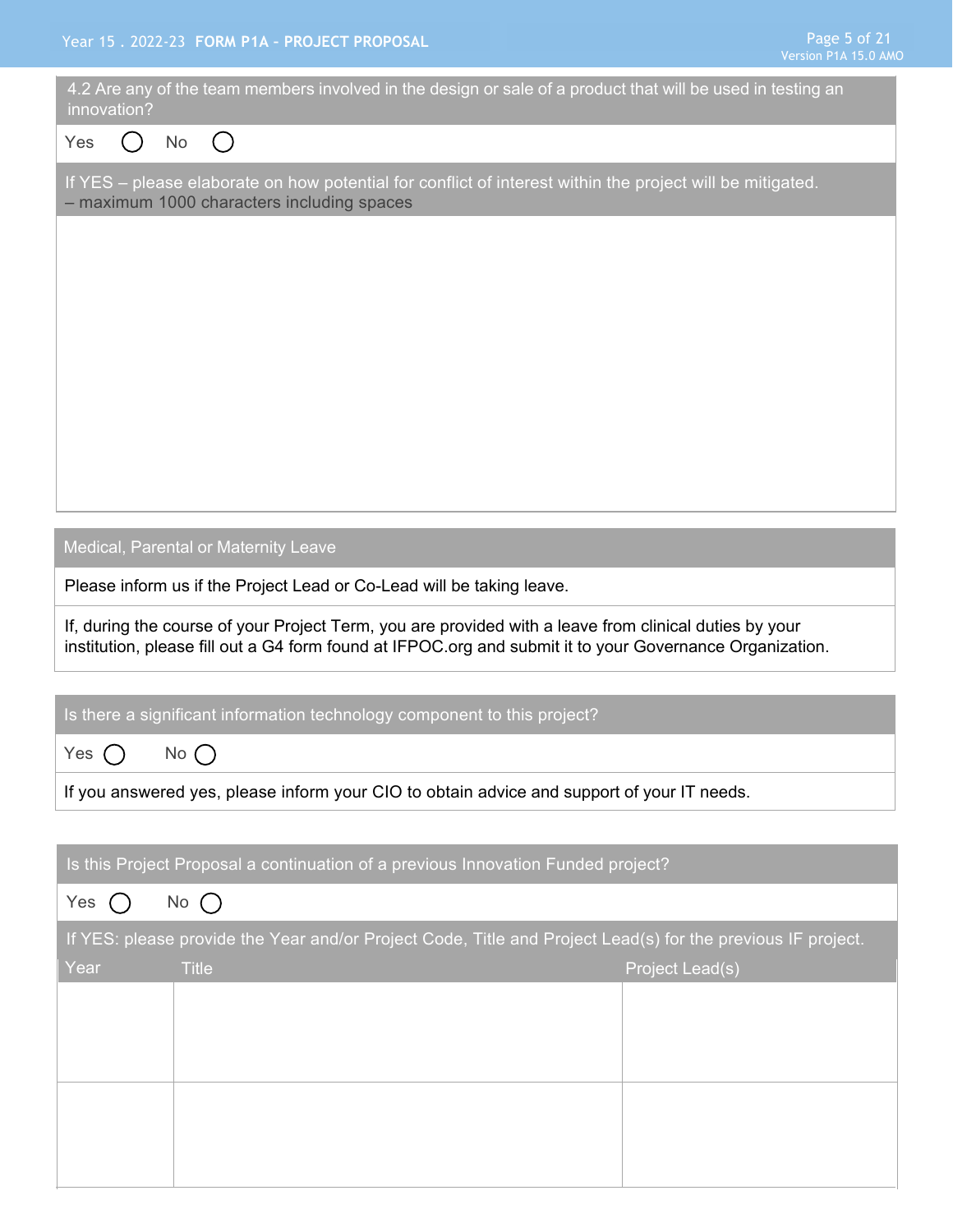| innovation? | 4.2 Are any of the team members involved in the design or sale of a product that will be used in testing an                                                                                                        |                 |
|-------------|--------------------------------------------------------------------------------------------------------------------------------------------------------------------------------------------------------------------|-----------------|
| Yes         | <b>No</b><br>$\left( \quad \right)$                                                                                                                                                                                |                 |
|             | If YES - please elaborate on how potential for conflict of interest within the project will be mitigated.<br>- maximum 1000 characters including spaces                                                            |                 |
|             |                                                                                                                                                                                                                    |                 |
|             |                                                                                                                                                                                                                    |                 |
|             |                                                                                                                                                                                                                    |                 |
|             |                                                                                                                                                                                                                    |                 |
|             |                                                                                                                                                                                                                    |                 |
|             |                                                                                                                                                                                                                    |                 |
|             |                                                                                                                                                                                                                    |                 |
|             | Medical, Parental or Maternity Leave                                                                                                                                                                               |                 |
|             | Please inform us if the Project Lead or Co-Lead will be taking leave.                                                                                                                                              |                 |
|             | If, during the course of your Project Term, you are provided with a leave from clinical duties by your<br>institution, please fill out a G4 form found at IFPOC.org and submit it to your Governance Organization. |                 |
|             | Is there a significant information technology component to this project?                                                                                                                                           |                 |
| Yes (       | $No$ $\bigcap$                                                                                                                                                                                                     |                 |
|             | If you answered yes, please inform your CIO to obtain advice and support of your IT needs.                                                                                                                         |                 |
|             |                                                                                                                                                                                                                    |                 |
|             | Is this Project Proposal a continuation of a previous Innovation Funded project?                                                                                                                                   |                 |
| Yes         | $No$ $()$                                                                                                                                                                                                          |                 |
|             | If YES: please provide the Year and/or Project Code, Title and Project Lead(s) for the previous IF project.                                                                                                        |                 |
| Year        | <b>Title</b>                                                                                                                                                                                                       | Project Lead(s) |
|             |                                                                                                                                                                                                                    |                 |
|             |                                                                                                                                                                                                                    |                 |
|             |                                                                                                                                                                                                                    |                 |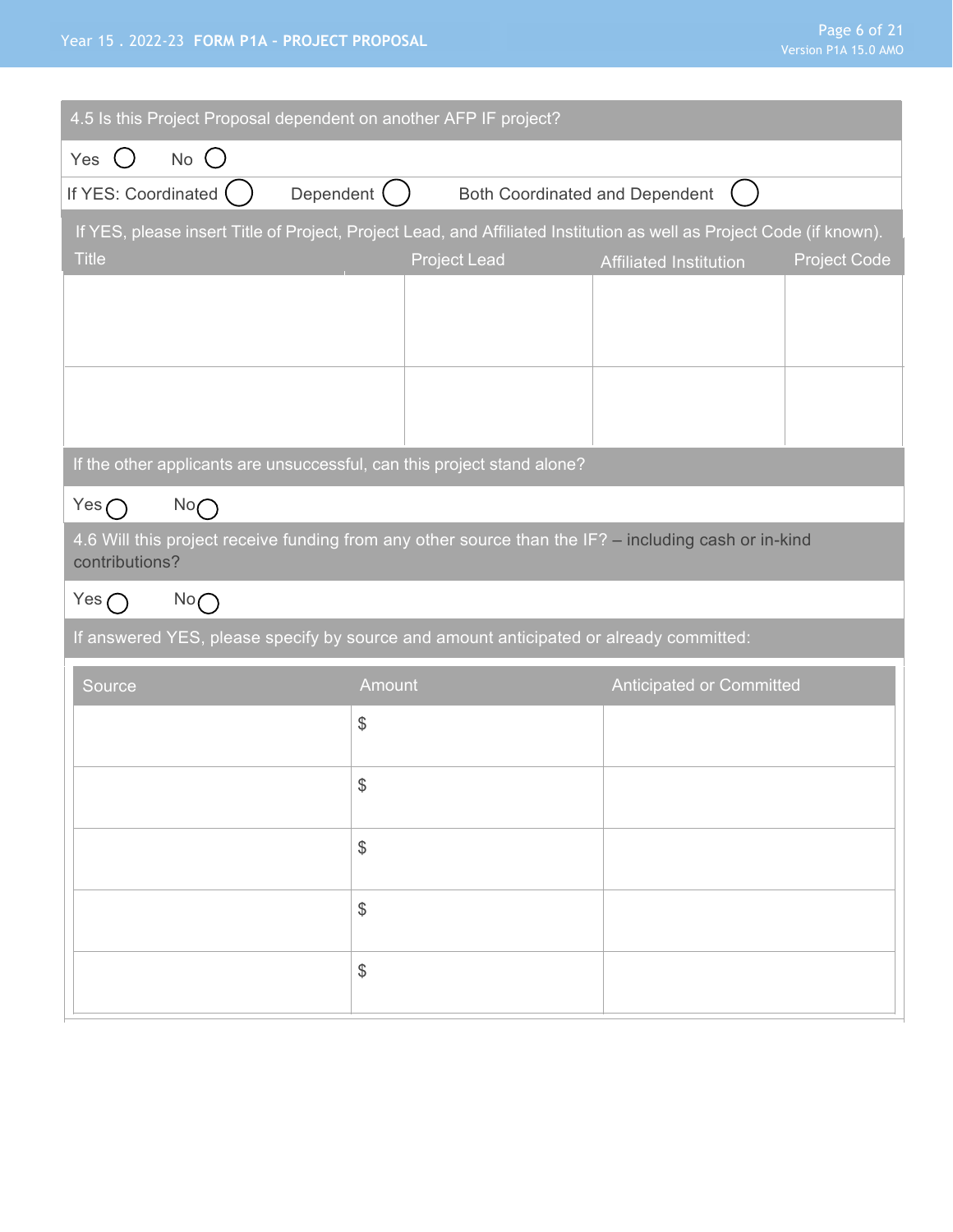#### Year 15 . 2022-23 **FORM P1A – PROJECT PROPOSAL**

| 4.5 Is this Project Proposal dependent on another AFP IF project?                                                    |                                               |                                       |                          |                     |
|----------------------------------------------------------------------------------------------------------------------|-----------------------------------------------|---------------------------------------|--------------------------|---------------------|
| $No$ $O$<br>Yes<br>$($ )                                                                                             |                                               |                                       |                          |                     |
| If YES: Coordinated $($                                                                                              | Dependent $( )$                               | <b>Both Coordinated and Dependent</b> |                          |                     |
| If YES, please insert Title of Project, Project Lead, and Affiliated Institution as well as Project Code (if known). |                                               |                                       |                          |                     |
| <b>Title</b>                                                                                                         |                                               | <b>Project Lead</b>                   | Affiliated Institution   | <b>Project Code</b> |
|                                                                                                                      |                                               |                                       |                          |                     |
|                                                                                                                      |                                               |                                       |                          |                     |
|                                                                                                                      |                                               |                                       |                          |                     |
|                                                                                                                      |                                               |                                       |                          |                     |
| If the other applicants are unsuccessful, can this project stand alone?                                              |                                               |                                       |                          |                     |
| Yes $\bigcap$<br>No                                                                                                  |                                               |                                       |                          |                     |
| 4.6 Will this project receive funding from any other source than the IF? - including cash or in-kind                 |                                               |                                       |                          |                     |
| contributions?                                                                                                       |                                               |                                       |                          |                     |
| Yes $\bigcap$<br>No                                                                                                  |                                               |                                       |                          |                     |
| If answered YES, please specify by source and amount anticipated or already committed:                               |                                               |                                       |                          |                     |
| Source                                                                                                               | Amount                                        |                                       | Anticipated or Committed |                     |
|                                                                                                                      | $\frac{1}{2}$                                 |                                       |                          |                     |
|                                                                                                                      |                                               |                                       |                          |                     |
|                                                                                                                      | $\, \, \raisebox{12pt}{$\scriptstyle \circ$}$ |                                       |                          |                     |
|                                                                                                                      | $\$\$                                         |                                       |                          |                     |
|                                                                                                                      |                                               |                                       |                          |                     |
|                                                                                                                      | $\frac{1}{2}$                                 |                                       |                          |                     |
|                                                                                                                      |                                               |                                       |                          |                     |
|                                                                                                                      |                                               |                                       |                          |                     |
|                                                                                                                      | $\frac{1}{2}$                                 |                                       |                          |                     |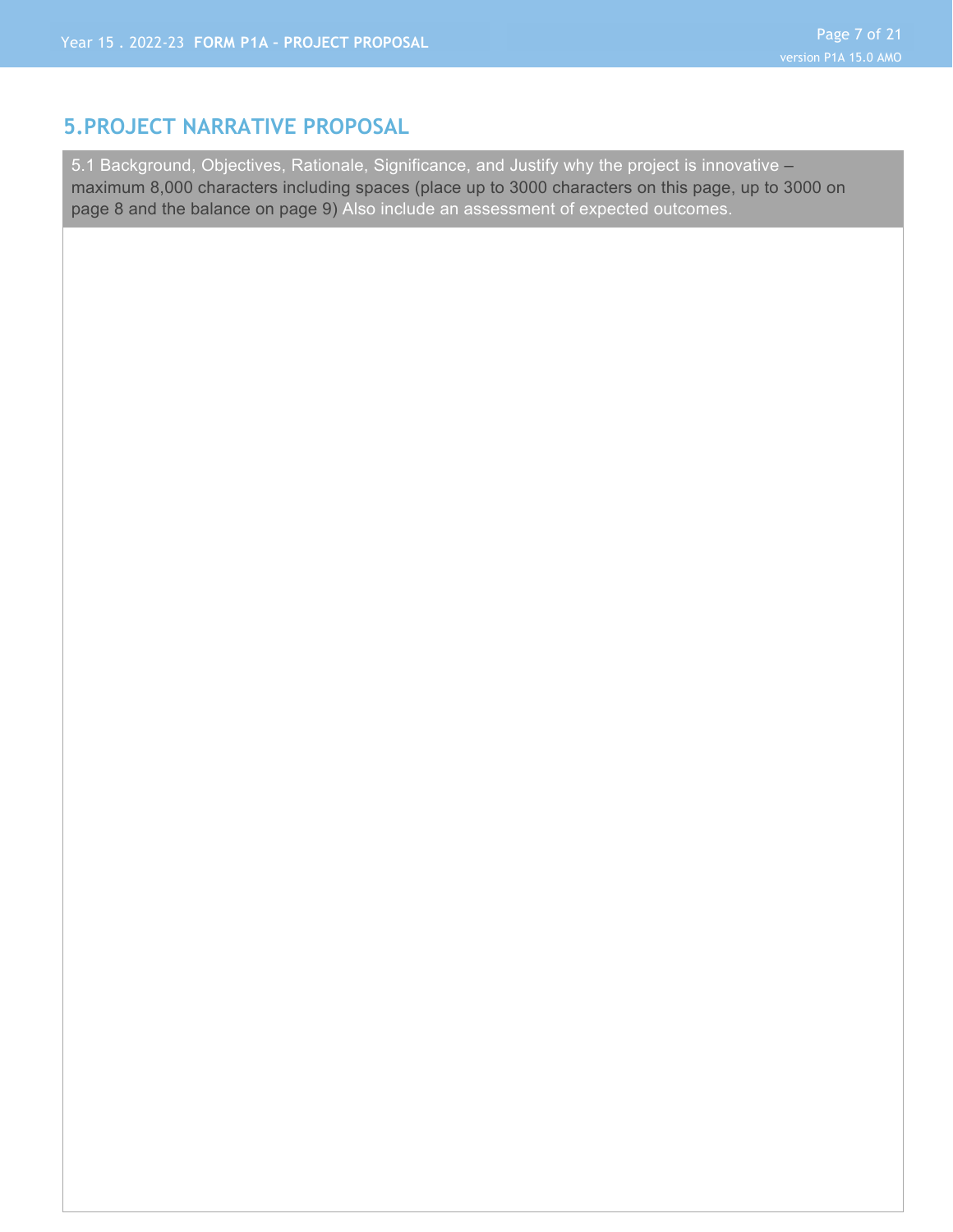#### **5.PROJECT NARRATIVE PROPOSAL**

5.1 Background, Objectives, Rationale, Significance, and Justify why the project is innovative maximum 8,000 characters including spaces (place up to 3000 characters on this page, up to 3000 on page 8 and the balance on page 9) Also include an assessment of expected outcomes.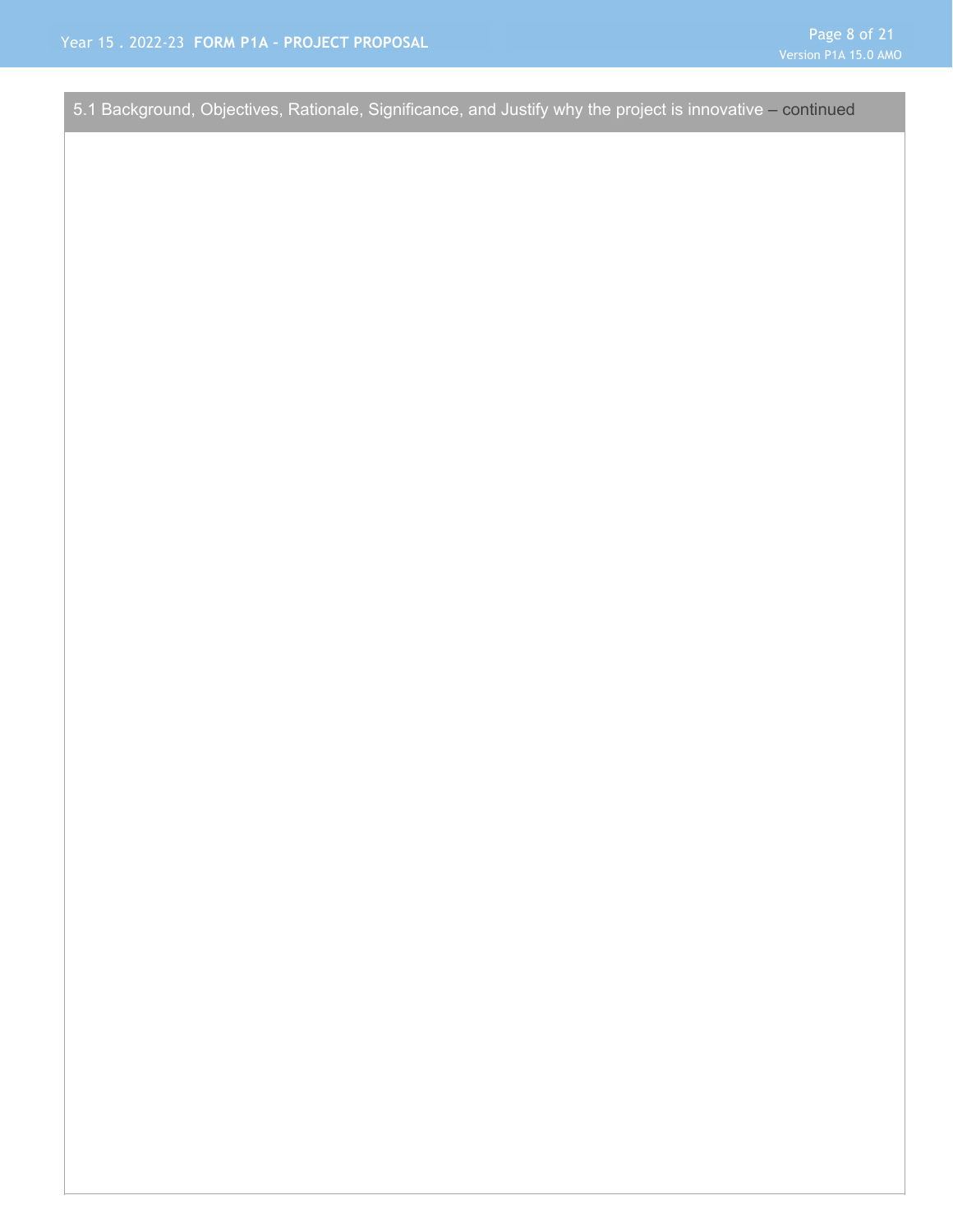5.1 Background, Objectives, Rationale, Significance, and Justify why the project is innovative – continued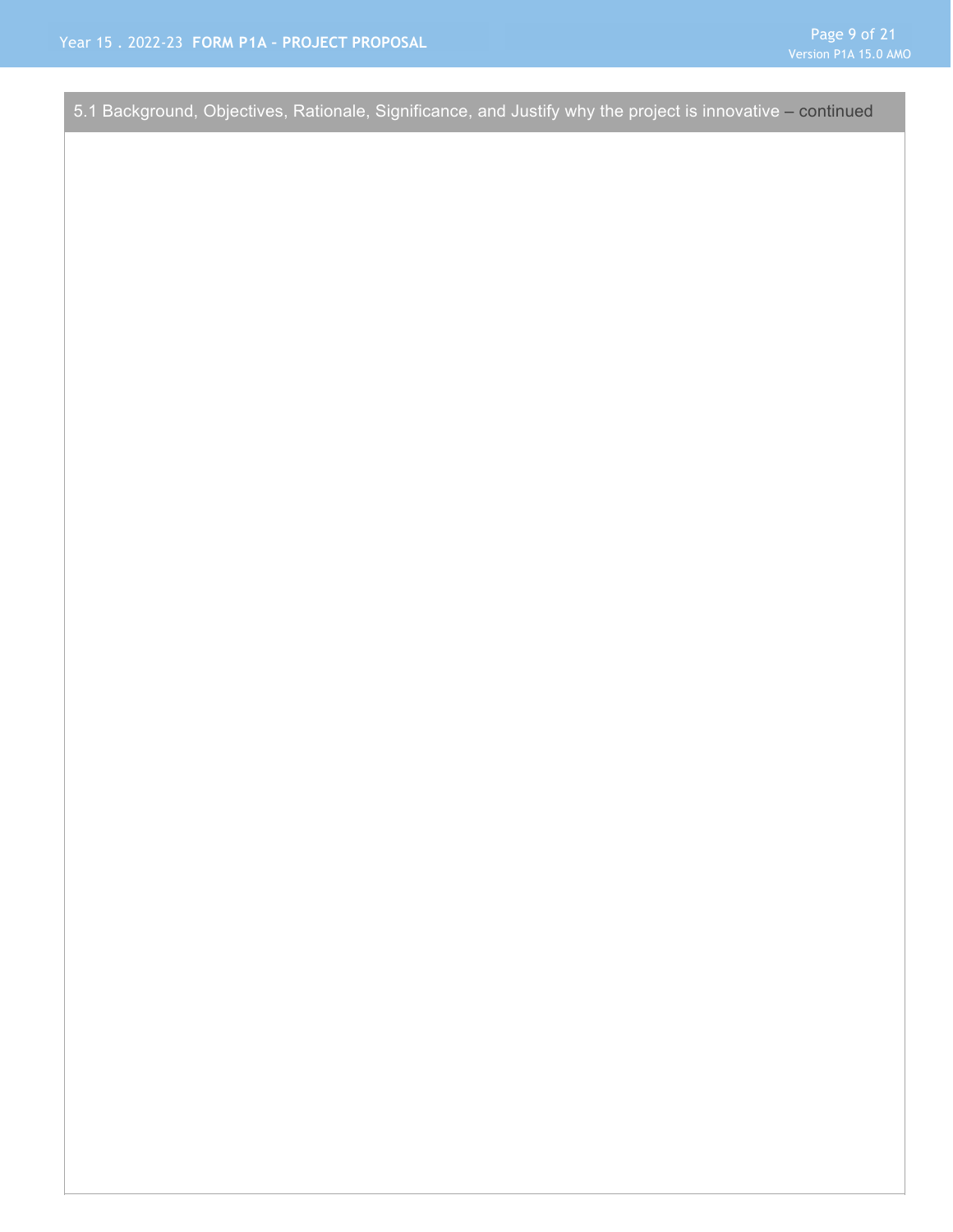Page 9 of 21

5.1 Background, Objectives, Rationale, Significance, and Justify why the project is innovative – continued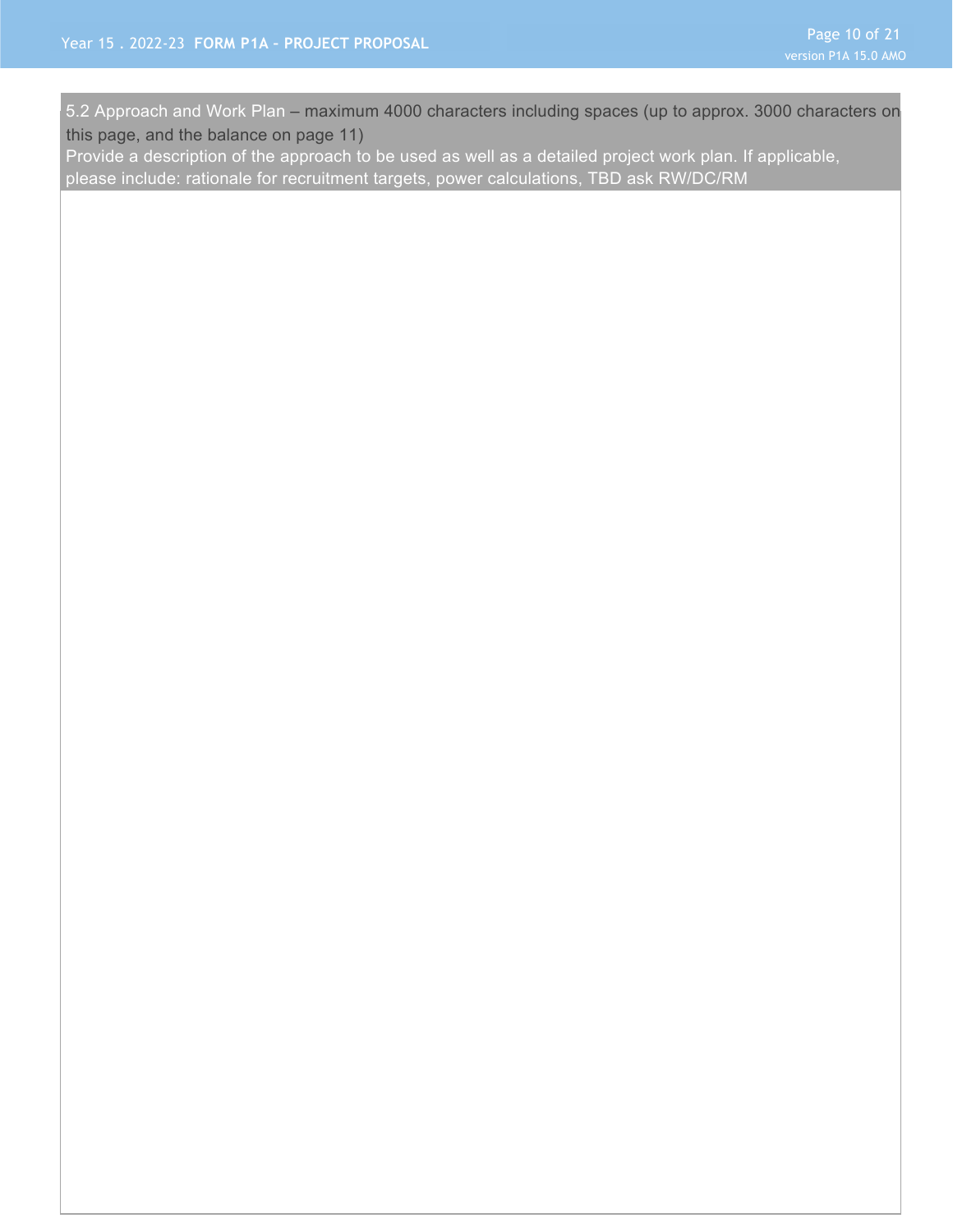5.2 Approach and Work Plan – maximum 4000 characters including spaces (up to approx. 3000 characters on this page, and the balance on page 11)

Provide a description of the approach to be used as well as a detailed project work plan. If applicable, please include: rationale for recruitment targets, power calculations, TBD ask RW/DC/RM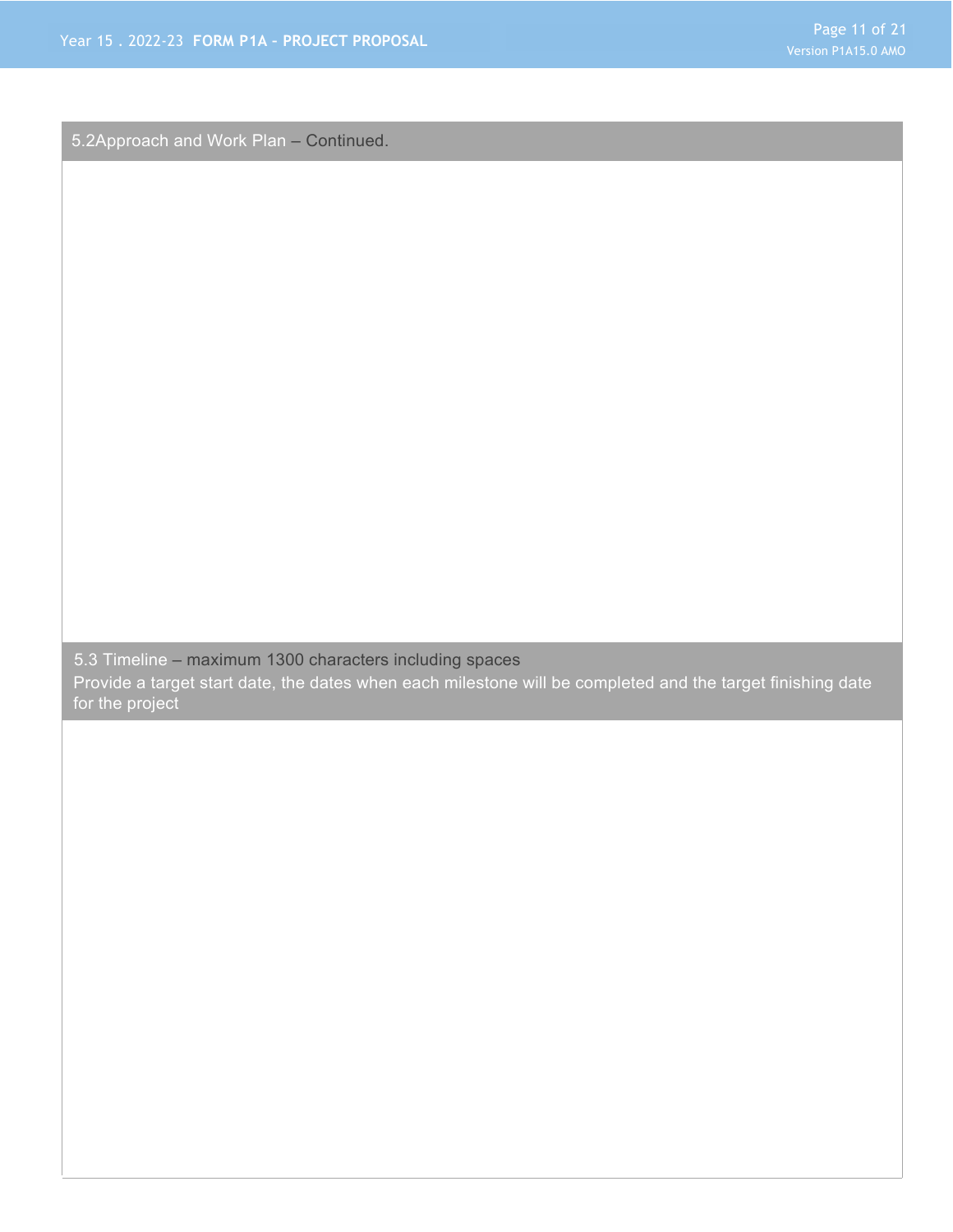5.2Approach and Work Plan – Continued.

5.3 Timeline – maximum 1300 characters including spaces

Provide a target start date, the dates when each milestone will be completed and the target finishing date for the project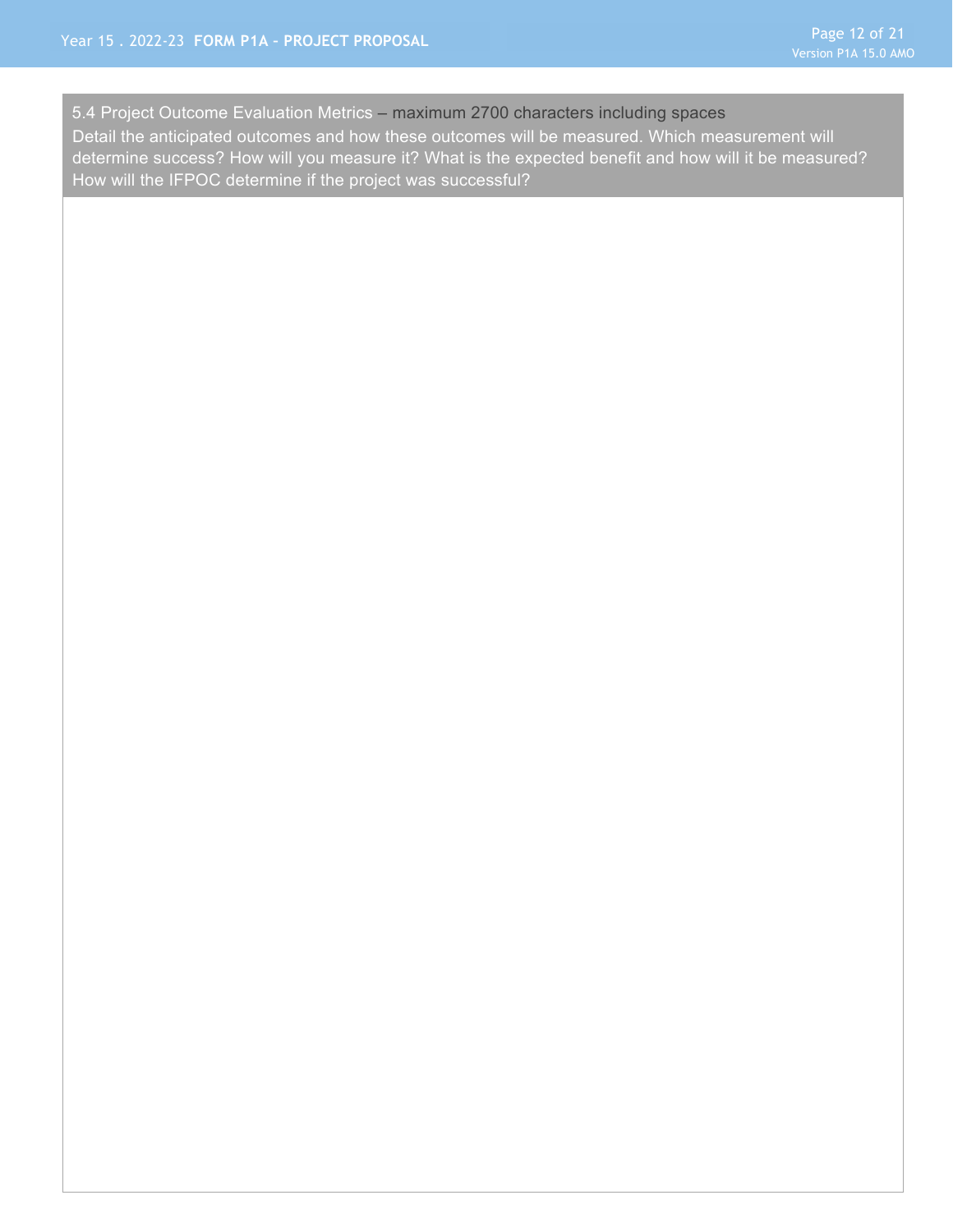5.4 Project Outcome Evaluation Metrics – maximum 2700 characters including spaces Detail the anticipated outcomes and how these outcomes will be measured. Which measurement will determine success? How will you measure it? What is the expected benefit and how will it be measured? How will the IFPOC determine if the project was successful?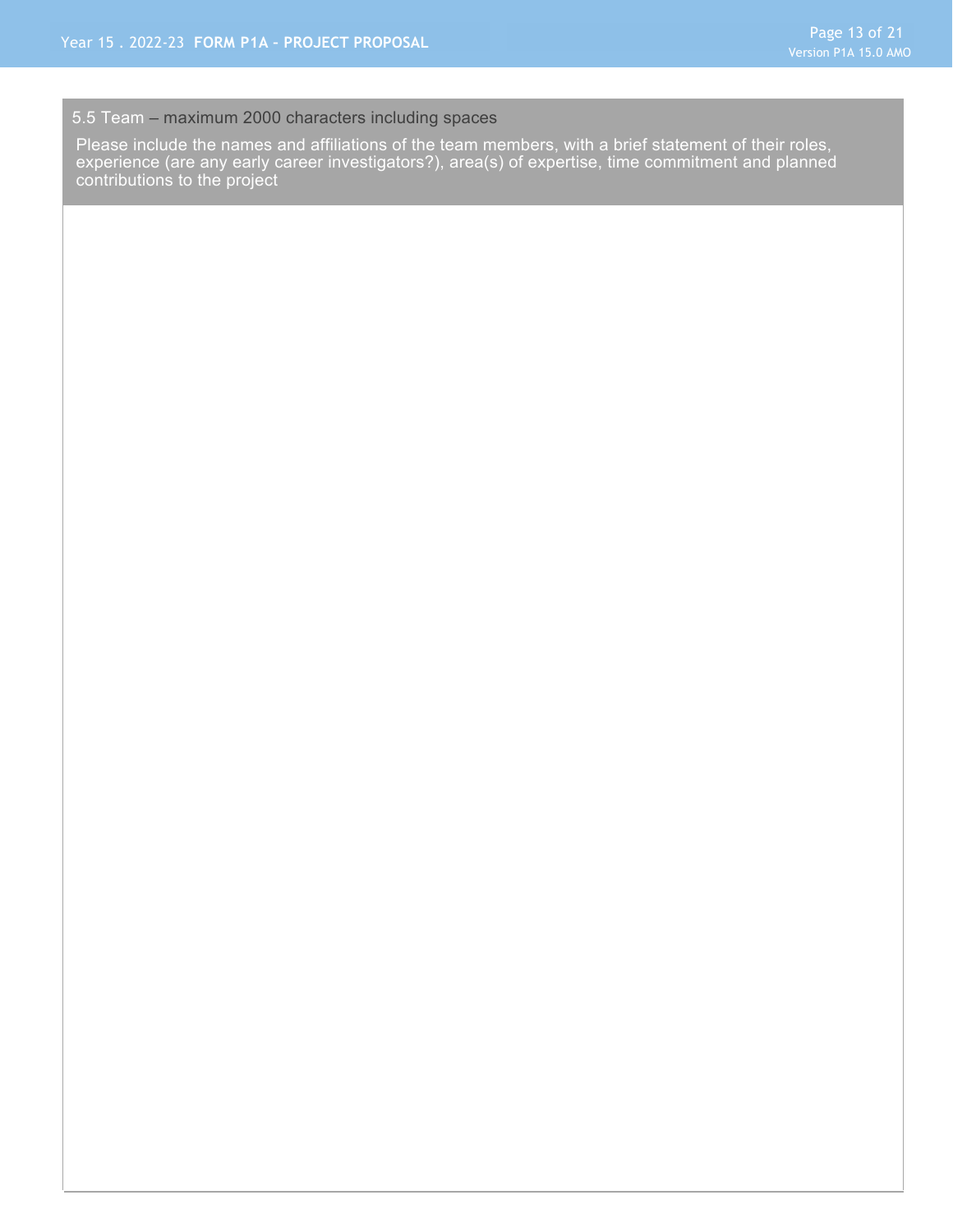#### 5.5 Team – maximum 2000 characters including spaces

Please include the names and affiliations of the team members, with a brief statement of their roles, experience (are any early career investigators?), area(s) of expertise, time commitment and planned contributions to the project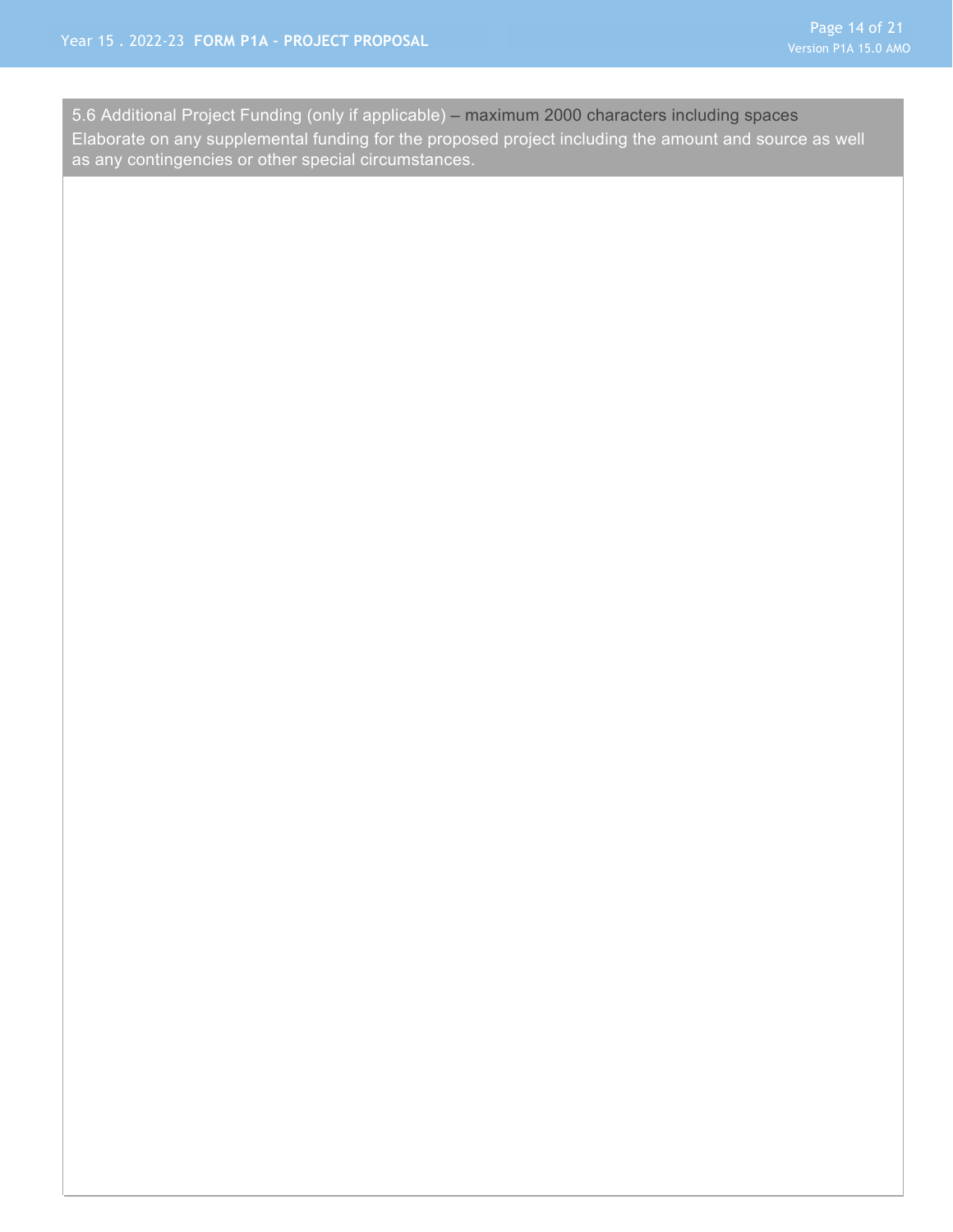as any contingencies or other special circumstances. 5.6 Additional Project Funding (only if applicable) – maximum 2000 characters including spaces Elaborate on any supplemental funding for the proposed project including the amount and source as well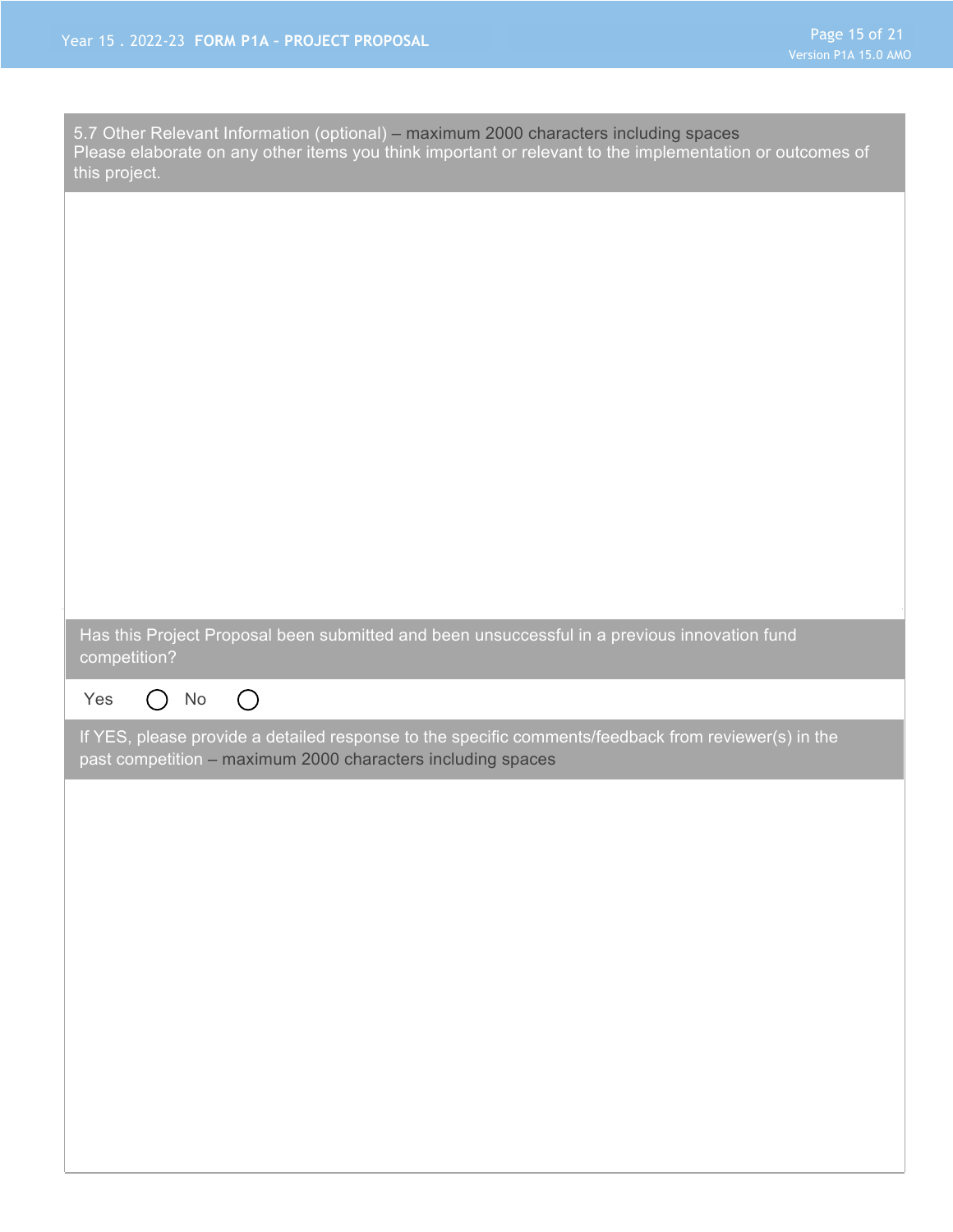| 5.7 Other Relevant Information (optional) - maximum 2000 characters including spaces<br>Please elaborate on any other items you think important or relevant to the implementation or outcomes of<br>this project. |
|-------------------------------------------------------------------------------------------------------------------------------------------------------------------------------------------------------------------|
|                                                                                                                                                                                                                   |
|                                                                                                                                                                                                                   |
|                                                                                                                                                                                                                   |
|                                                                                                                                                                                                                   |
|                                                                                                                                                                                                                   |
|                                                                                                                                                                                                                   |
|                                                                                                                                                                                                                   |
| Has this Project Proposal been submitted and been unsuccessful in a previous innovation fund<br>competition?                                                                                                      |
|                                                                                                                                                                                                                   |
| $\bigcirc$<br>Yes<br>No<br>$\left(\begin{array}{c} \end{array}\right)$                                                                                                                                            |
| If YES, please provide a detailed response to the specific comments/feedback from reviewer(s) in the<br>past competition - maximum 2000 characters including spaces                                               |
|                                                                                                                                                                                                                   |
|                                                                                                                                                                                                                   |
|                                                                                                                                                                                                                   |
|                                                                                                                                                                                                                   |
|                                                                                                                                                                                                                   |
|                                                                                                                                                                                                                   |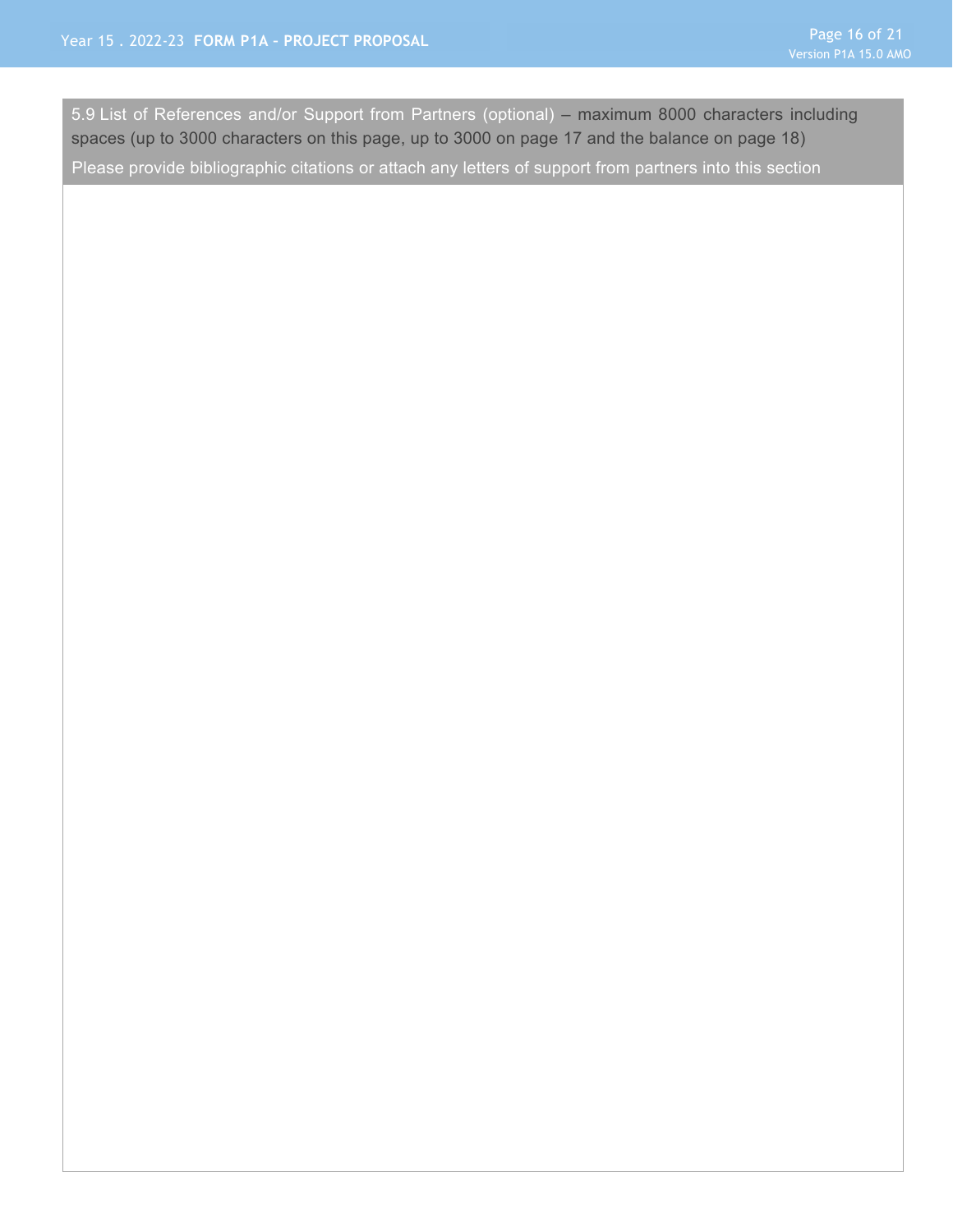5.9 List of References and/or Support from Partners (optional) – maximum 8000 characters including spaces (up to 3000 characters on this page, up to 3000 on page 17 and the balance on page 18)

Please provide bibliographic citations or attach any letters of support from partners into this section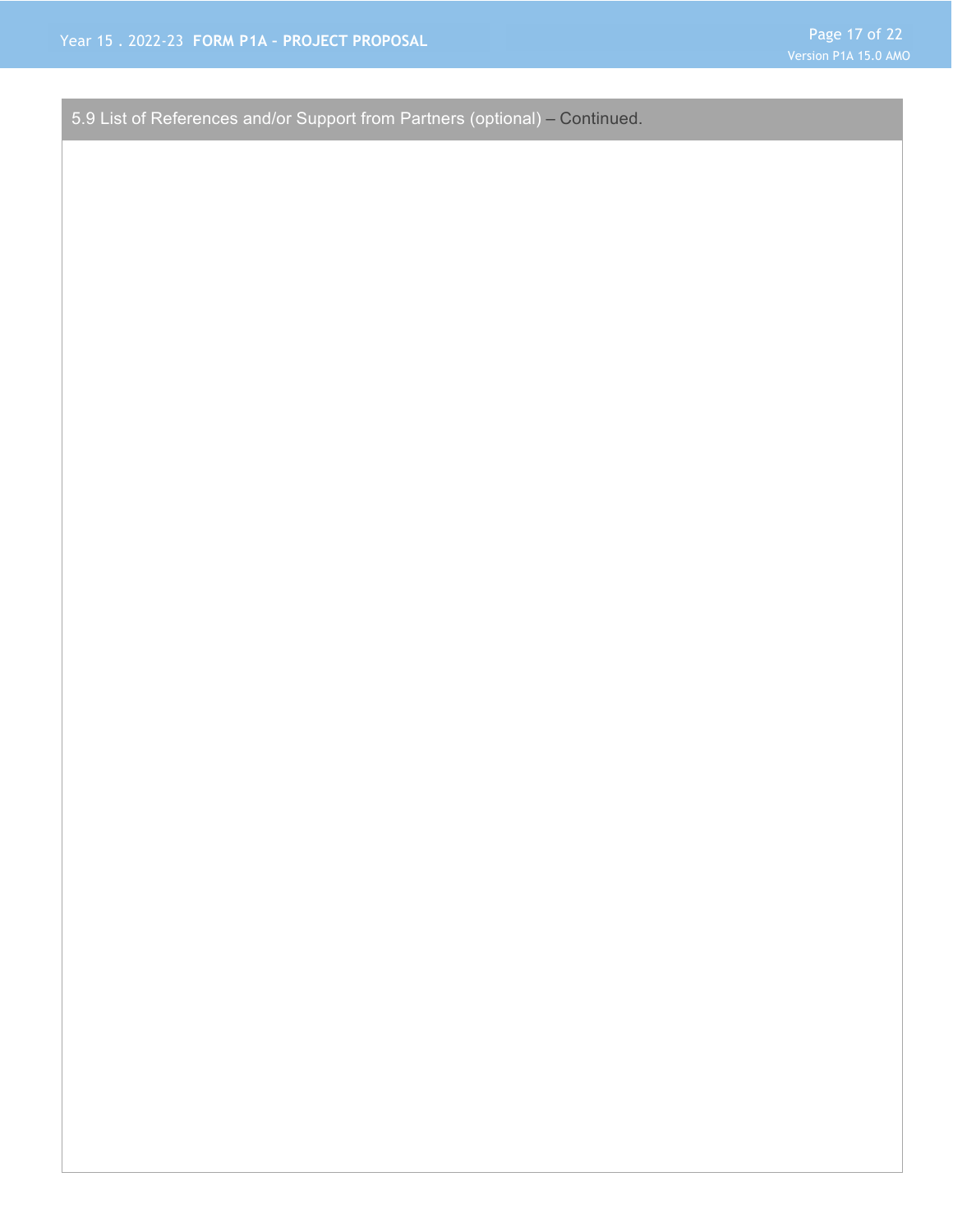5.9 List of References and/or Support from Partners (optional) – Continued.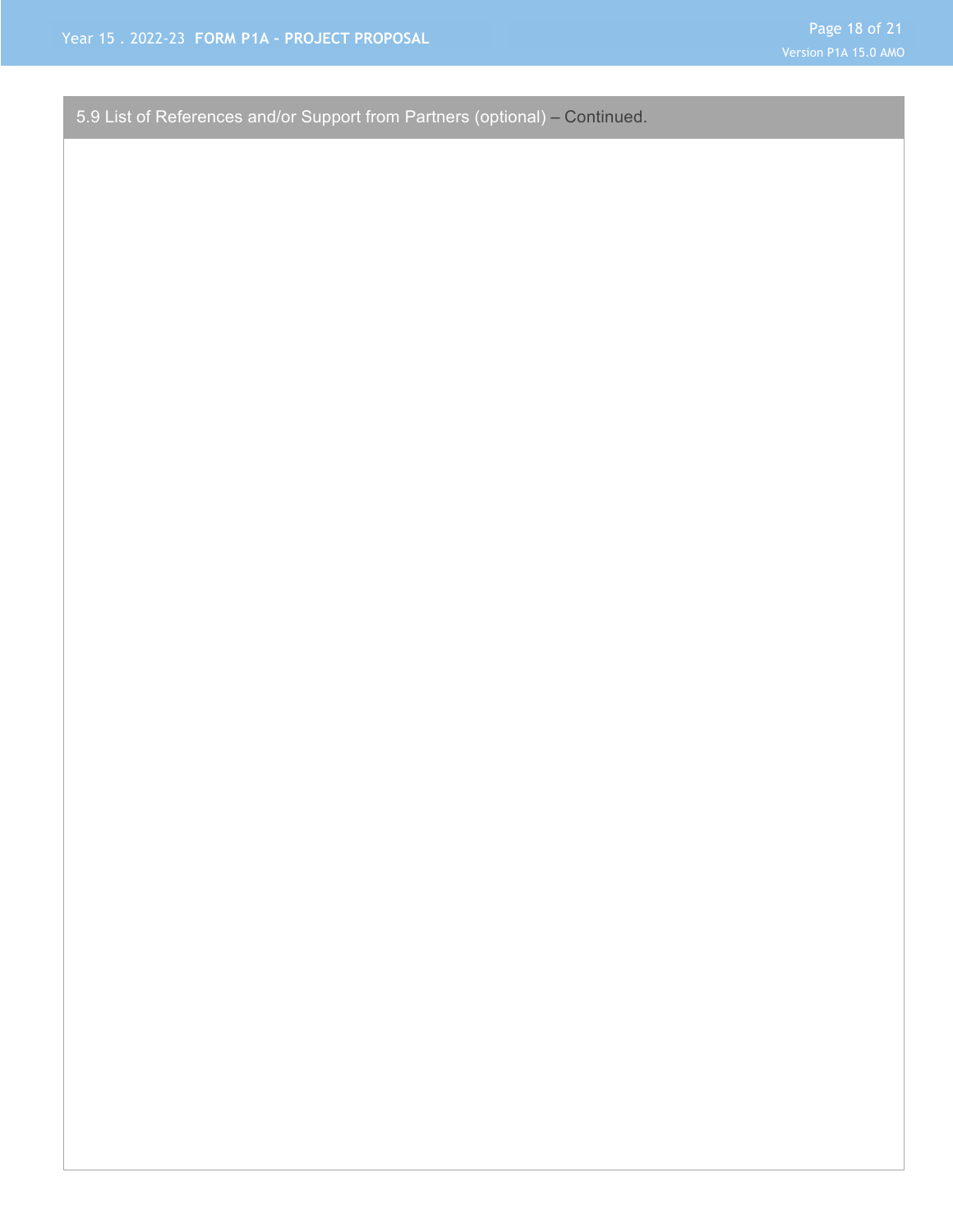5.9 List of References and/or Support from Partners (optional) – Continued.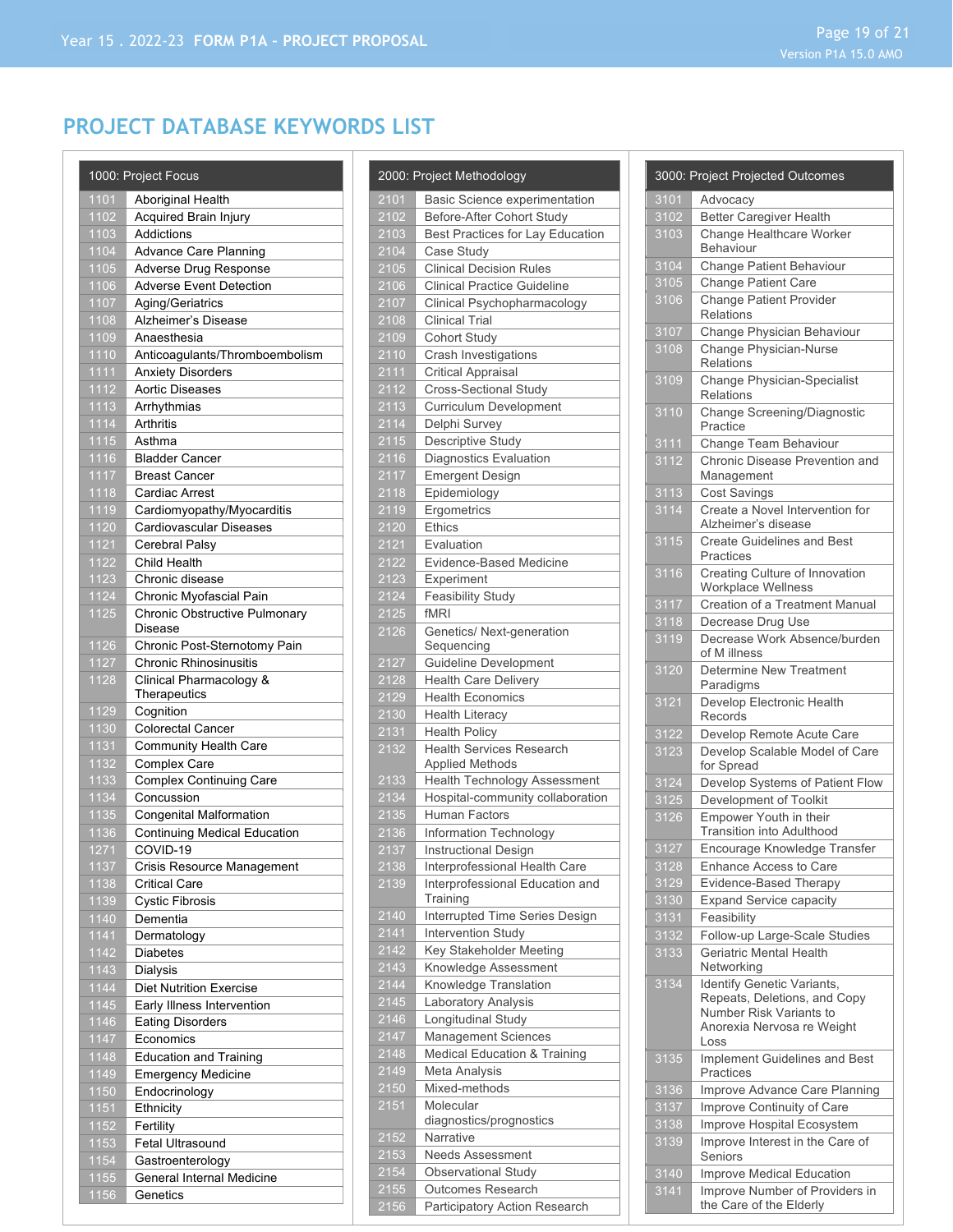# **PROJECT DATABASE KEYWORDS LIST**

|              | 1000: Project Focus                             |
|--------------|-------------------------------------------------|
| 1101         | Aboriginal Health                               |
| 1102         | Acquired Brain Injury                           |
| 1103         | Addictions                                      |
| 1104         | Advance Care Planning                           |
| 1105         | Adverse Drug Response                           |
| 1106         | <b>Adverse Event Detection</b>                  |
| 1107         | Aging/Geriatrics                                |
| 1108         | Alzheimer's Disease                             |
| 1109         | Anaesthesia                                     |
| 1110         | Anticoagulants/Thromboembolism                  |
| 1111         | <b>Anxiety Disorders</b>                        |
| 1112         | <b>Aortic Diseases</b>                          |
| 1113         | Arrhythmias                                     |
| 1114         | Arthritis                                       |
| 1115         | Asthma                                          |
| 1116         | <b>Bladder Cancer</b>                           |
| 1117         | <b>Breast Cancer</b>                            |
| 1118         | <b>Cardiac Arrest</b>                           |
| 1119         | Cardiomyopathy/Myocarditis                      |
| 1120         | Cardiovascular Diseases<br>Cerebral Palsy       |
| 1121<br>1122 | Child Health                                    |
| 1123         | Chronic disease                                 |
| 1124         | Chronic Myofascial Pain                         |
| 1125         | Chronic Obstructive Pulmonary                   |
|              | Disease                                         |
| 1126         | Chronic Post-Sternotomy Pain                    |
| 1127         | <b>Chronic Rhinosinusitis</b>                   |
| 1128         | Clinical Pharmacology &                         |
|              | Therapeutics                                    |
| 1129         | Cognition                                       |
| 1130         | <b>Colorectal Cancer</b>                        |
| 1131         | <b>Community Health Care</b>                    |
| 1132         | Complex Care                                    |
| 1133         | <b>Complex Continuing Care</b>                  |
| 1134         | Concussion                                      |
| 1135         | <b>Congenital Malformation</b>                  |
| 1136<br>1271 | <b>Continuing Medical Education</b><br>COVID-19 |
| 1137         | Crisis Resource Management                      |
| 1138         | <b>Critical Care</b>                            |
| 1139         | <b>Cystic Fibrosis</b>                          |
| 1140         | Dementia                                        |
| 1141         | Dermatology                                     |
| 1142         | Diabetes                                        |
| 1143         | Dialysis                                        |
| 1144         | Diet Nutrition Exercise                         |
| 1145         | Early Illness Intervention                      |
| 1146         | <b>Eating Disorders</b>                         |
| 1147         | Economics                                       |
| 1148         | <b>Education and Training</b>                   |
| 1149         | <b>Emergency Medicine</b>                       |
| 1150         | Endocrinology                                   |
| 1151         | Ethnicity                                       |
| 1152         | Fertility                                       |
| 1153         | Fetal Ultrasound                                |
| 1154         | Gastroenterology                                |
| 1155         | General Internal Medicine                       |
| 1156         | Genetics                                        |
|              |                                                 |

|                          | 2000: Project Methodology                                        |
|--------------------------|------------------------------------------------------------------|
| 2101                     | Basic Science experimentation                                    |
| 2102                     | Before-After Cohort Study                                        |
| 2103                     | <b>Best Practices for Lay Education</b>                          |
| 2104                     | Case Study                                                       |
| 2105                     | <b>Clinical Decision Rules</b>                                   |
| 2106                     | <b>Clinical Practice Guideline</b>                               |
| 2107                     | Clinical Psychopharmacology                                      |
| 2108                     | <b>Clinical Trial</b>                                            |
| 2109                     | Cohort Study                                                     |
| 2110                     | Crash Investigations                                             |
| 2111                     | <b>Critical Appraisal</b>                                        |
| 2112                     | Cross-Sectional Study                                            |
| 2113                     | Curriculum Development                                           |
| $\overline{2114}$        | Delphi Survey                                                    |
| 2115                     | Descriptive Study                                                |
| 2116                     | <b>Diagnostics Evaluation</b>                                    |
| 2117                     | <b>Emergent Design</b>                                           |
| 2118                     | Epidemiology                                                     |
| 2119                     | Ergometrics                                                      |
| 2120                     | Ethics                                                           |
| $\frac{1}{2121}$         | Evaluation                                                       |
| 2122                     | Evidence-Based Medicine                                          |
| 2123                     | Experiment                                                       |
| 2124                     | <b>Feasibility Study</b>                                         |
| 2125                     | fMRI                                                             |
| 2126                     | Genetics/Next-generation                                         |
| 2127                     | Sequencing<br><b>Guideline Development</b>                       |
| 2128                     | <b>Health Care Delivery</b>                                      |
| 2129                     | <b>Health Economics</b>                                          |
| 2130                     | <b>Health Literacy</b>                                           |
| 2131                     | <b>Health Policy</b>                                             |
| 2132                     | <b>Health Services Research</b>                                  |
|                          | <b>Applied Methods</b>                                           |
| 2133                     | Health Technology Assessment                                     |
| 2134                     | Hospital-community collaboration                                 |
| $\frac{2}{135}$          | <b>Human Factors</b>                                             |
| 2136                     | Information Technology                                           |
| 2137                     | <b>Instructional Design</b>                                      |
| 2138<br>2139             | Interprofessional Health Care<br>Interprofessional Education and |
|                          | Training                                                         |
| 2140                     | Interrupted Time Series Design                                   |
| 2141                     | <b>Intervention Study</b>                                        |
| 2142                     | Key Stakeholder Meeting                                          |
| $\frac{2143}{2}$         | Knowledge Assessment                                             |
| $\frac{1}{2144}$         | Knowledge Translation                                            |
| 2145                     | Laboratory Analysis                                              |
| 2146                     | Longitudinal Study                                               |
| 2147                     | Management Sciences                                              |
| 2148                     | Medical Education & Training                                     |
| 2149                     | Meta Analysis                                                    |
| 2150                     | Mixed-methods                                                    |
| 2151                     | Molecular                                                        |
|                          | diagnostics/prognostics                                          |
| 2152<br>$\frac{2153}{ }$ | Narrative<br><b>Needs Assessment</b>                             |
| 2154                     | Observational Study                                              |
| 2155                     | Outcomes Research                                                |
| 2156                     | Participatory Action Research                                    |

| 3101<br>Advocacy<br>3102<br><b>Better Caregiver Health</b><br>Change Healthcare Worker<br>3103<br><b>Behaviour</b><br>3104<br>Change Patient Behaviour<br>3105<br><b>Change Patient Care</b><br>3106<br><b>Change Patient Provider</b><br><b>Relations</b><br>3107<br>Change Physician Behaviour<br>3108<br><b>Change Physician-Nurse</b><br><b>Relations</b><br>3109<br>Change Physician-Specialist<br><b>Relations</b><br>3110<br>Change Screening/Diagnostic<br>Practice<br>3111<br>Change Team Behaviour<br>3112<br>Chronic Disease Prevention and<br>Management<br>3113<br><b>Cost Savings</b><br>3114<br>Create a Novel Intervention for<br>Alzheimer's disease<br>3115<br><b>Create Guidelines and Best</b><br>Practices<br>3116<br>Creating Culture of Innovation<br>Workplace Wellness<br>3117<br>Creation of a Treatment Manual<br>3118<br>Decrease Drug Use<br>3119<br>Decrease Work Absence/burden<br>of M illness<br>3120<br><b>Determine New Treatment</b><br>Paradigms<br>3121<br>Develop Electronic Health<br>Records<br>3122<br>Develop Remote Acute Care<br>3123<br>Develop Scalable Model of Care<br>for Spread<br>3124<br>Develop Systems of Patient Flow<br>3125<br>Development of Toolkit<br>3126<br>Empower Youth in their<br><b>Transition into Adulthood</b><br>3127<br>Encourage Knowledge Transfer<br>$\frac{1}{3128}$<br>Enhance Access to Care<br>3129<br>Evidence-Based Therapy<br>3130<br><b>Expand Service capacity</b><br>Feasibility<br>3131<br>3132<br>Follow-up Large-Scale Studies<br><b>Geriatric Mental Health</b><br>3133<br>Networking<br>3134<br>Identify Genetic Variants,<br>Repeats, Deletions, and Copy<br>Number Risk Variants to<br>Anorexia Nervosa re Weight<br>Loss<br>3135<br>Implement Guidelines and Best<br>Practices<br>3136<br>Improve Advance Care Planning<br>3137<br>Improve Continuity of Care<br>3138<br>Improve Hospital Ecosystem<br>3139<br>Improve Interest in the Care of<br>Seniors<br>$\frac{1}{3140}$<br>Improve Medical Education<br>3141<br>Improve Number of Providers in<br>the Care of the Elderly | 3000: Project Projected Outcomes |
|-------------------------------------------------------------------------------------------------------------------------------------------------------------------------------------------------------------------------------------------------------------------------------------------------------------------------------------------------------------------------------------------------------------------------------------------------------------------------------------------------------------------------------------------------------------------------------------------------------------------------------------------------------------------------------------------------------------------------------------------------------------------------------------------------------------------------------------------------------------------------------------------------------------------------------------------------------------------------------------------------------------------------------------------------------------------------------------------------------------------------------------------------------------------------------------------------------------------------------------------------------------------------------------------------------------------------------------------------------------------------------------------------------------------------------------------------------------------------------------------------------------------------------------------------------------------------------------------------------------------------------------------------------------------------------------------------------------------------------------------------------------------------------------------------------------------------------------------------------------------------------------------------------------------------------------------------------------------------------------------------------------------------------------------------------------------------------|----------------------------------|
|                                                                                                                                                                                                                                                                                                                                                                                                                                                                                                                                                                                                                                                                                                                                                                                                                                                                                                                                                                                                                                                                                                                                                                                                                                                                                                                                                                                                                                                                                                                                                                                                                                                                                                                                                                                                                                                                                                                                                                                                                                                                               |                                  |
|                                                                                                                                                                                                                                                                                                                                                                                                                                                                                                                                                                                                                                                                                                                                                                                                                                                                                                                                                                                                                                                                                                                                                                                                                                                                                                                                                                                                                                                                                                                                                                                                                                                                                                                                                                                                                                                                                                                                                                                                                                                                               |                                  |
|                                                                                                                                                                                                                                                                                                                                                                                                                                                                                                                                                                                                                                                                                                                                                                                                                                                                                                                                                                                                                                                                                                                                                                                                                                                                                                                                                                                                                                                                                                                                                                                                                                                                                                                                                                                                                                                                                                                                                                                                                                                                               |                                  |
|                                                                                                                                                                                                                                                                                                                                                                                                                                                                                                                                                                                                                                                                                                                                                                                                                                                                                                                                                                                                                                                                                                                                                                                                                                                                                                                                                                                                                                                                                                                                                                                                                                                                                                                                                                                                                                                                                                                                                                                                                                                                               |                                  |
|                                                                                                                                                                                                                                                                                                                                                                                                                                                                                                                                                                                                                                                                                                                                                                                                                                                                                                                                                                                                                                                                                                                                                                                                                                                                                                                                                                                                                                                                                                                                                                                                                                                                                                                                                                                                                                                                                                                                                                                                                                                                               |                                  |
|                                                                                                                                                                                                                                                                                                                                                                                                                                                                                                                                                                                                                                                                                                                                                                                                                                                                                                                                                                                                                                                                                                                                                                                                                                                                                                                                                                                                                                                                                                                                                                                                                                                                                                                                                                                                                                                                                                                                                                                                                                                                               |                                  |
|                                                                                                                                                                                                                                                                                                                                                                                                                                                                                                                                                                                                                                                                                                                                                                                                                                                                                                                                                                                                                                                                                                                                                                                                                                                                                                                                                                                                                                                                                                                                                                                                                                                                                                                                                                                                                                                                                                                                                                                                                                                                               |                                  |
|                                                                                                                                                                                                                                                                                                                                                                                                                                                                                                                                                                                                                                                                                                                                                                                                                                                                                                                                                                                                                                                                                                                                                                                                                                                                                                                                                                                                                                                                                                                                                                                                                                                                                                                                                                                                                                                                                                                                                                                                                                                                               |                                  |
|                                                                                                                                                                                                                                                                                                                                                                                                                                                                                                                                                                                                                                                                                                                                                                                                                                                                                                                                                                                                                                                                                                                                                                                                                                                                                                                                                                                                                                                                                                                                                                                                                                                                                                                                                                                                                                                                                                                                                                                                                                                                               |                                  |
|                                                                                                                                                                                                                                                                                                                                                                                                                                                                                                                                                                                                                                                                                                                                                                                                                                                                                                                                                                                                                                                                                                                                                                                                                                                                                                                                                                                                                                                                                                                                                                                                                                                                                                                                                                                                                                                                                                                                                                                                                                                                               |                                  |
|                                                                                                                                                                                                                                                                                                                                                                                                                                                                                                                                                                                                                                                                                                                                                                                                                                                                                                                                                                                                                                                                                                                                                                                                                                                                                                                                                                                                                                                                                                                                                                                                                                                                                                                                                                                                                                                                                                                                                                                                                                                                               |                                  |
|                                                                                                                                                                                                                                                                                                                                                                                                                                                                                                                                                                                                                                                                                                                                                                                                                                                                                                                                                                                                                                                                                                                                                                                                                                                                                                                                                                                                                                                                                                                                                                                                                                                                                                                                                                                                                                                                                                                                                                                                                                                                               |                                  |
|                                                                                                                                                                                                                                                                                                                                                                                                                                                                                                                                                                                                                                                                                                                                                                                                                                                                                                                                                                                                                                                                                                                                                                                                                                                                                                                                                                                                                                                                                                                                                                                                                                                                                                                                                                                                                                                                                                                                                                                                                                                                               |                                  |
|                                                                                                                                                                                                                                                                                                                                                                                                                                                                                                                                                                                                                                                                                                                                                                                                                                                                                                                                                                                                                                                                                                                                                                                                                                                                                                                                                                                                                                                                                                                                                                                                                                                                                                                                                                                                                                                                                                                                                                                                                                                                               |                                  |
|                                                                                                                                                                                                                                                                                                                                                                                                                                                                                                                                                                                                                                                                                                                                                                                                                                                                                                                                                                                                                                                                                                                                                                                                                                                                                                                                                                                                                                                                                                                                                                                                                                                                                                                                                                                                                                                                                                                                                                                                                                                                               |                                  |
|                                                                                                                                                                                                                                                                                                                                                                                                                                                                                                                                                                                                                                                                                                                                                                                                                                                                                                                                                                                                                                                                                                                                                                                                                                                                                                                                                                                                                                                                                                                                                                                                                                                                                                                                                                                                                                                                                                                                                                                                                                                                               |                                  |
|                                                                                                                                                                                                                                                                                                                                                                                                                                                                                                                                                                                                                                                                                                                                                                                                                                                                                                                                                                                                                                                                                                                                                                                                                                                                                                                                                                                                                                                                                                                                                                                                                                                                                                                                                                                                                                                                                                                                                                                                                                                                               |                                  |
|                                                                                                                                                                                                                                                                                                                                                                                                                                                                                                                                                                                                                                                                                                                                                                                                                                                                                                                                                                                                                                                                                                                                                                                                                                                                                                                                                                                                                                                                                                                                                                                                                                                                                                                                                                                                                                                                                                                                                                                                                                                                               |                                  |
|                                                                                                                                                                                                                                                                                                                                                                                                                                                                                                                                                                                                                                                                                                                                                                                                                                                                                                                                                                                                                                                                                                                                                                                                                                                                                                                                                                                                                                                                                                                                                                                                                                                                                                                                                                                                                                                                                                                                                                                                                                                                               |                                  |
|                                                                                                                                                                                                                                                                                                                                                                                                                                                                                                                                                                                                                                                                                                                                                                                                                                                                                                                                                                                                                                                                                                                                                                                                                                                                                                                                                                                                                                                                                                                                                                                                                                                                                                                                                                                                                                                                                                                                                                                                                                                                               |                                  |
|                                                                                                                                                                                                                                                                                                                                                                                                                                                                                                                                                                                                                                                                                                                                                                                                                                                                                                                                                                                                                                                                                                                                                                                                                                                                                                                                                                                                                                                                                                                                                                                                                                                                                                                                                                                                                                                                                                                                                                                                                                                                               |                                  |
|                                                                                                                                                                                                                                                                                                                                                                                                                                                                                                                                                                                                                                                                                                                                                                                                                                                                                                                                                                                                                                                                                                                                                                                                                                                                                                                                                                                                                                                                                                                                                                                                                                                                                                                                                                                                                                                                                                                                                                                                                                                                               |                                  |
|                                                                                                                                                                                                                                                                                                                                                                                                                                                                                                                                                                                                                                                                                                                                                                                                                                                                                                                                                                                                                                                                                                                                                                                                                                                                                                                                                                                                                                                                                                                                                                                                                                                                                                                                                                                                                                                                                                                                                                                                                                                                               |                                  |
|                                                                                                                                                                                                                                                                                                                                                                                                                                                                                                                                                                                                                                                                                                                                                                                                                                                                                                                                                                                                                                                                                                                                                                                                                                                                                                                                                                                                                                                                                                                                                                                                                                                                                                                                                                                                                                                                                                                                                                                                                                                                               |                                  |
|                                                                                                                                                                                                                                                                                                                                                                                                                                                                                                                                                                                                                                                                                                                                                                                                                                                                                                                                                                                                                                                                                                                                                                                                                                                                                                                                                                                                                                                                                                                                                                                                                                                                                                                                                                                                                                                                                                                                                                                                                                                                               |                                  |
|                                                                                                                                                                                                                                                                                                                                                                                                                                                                                                                                                                                                                                                                                                                                                                                                                                                                                                                                                                                                                                                                                                                                                                                                                                                                                                                                                                                                                                                                                                                                                                                                                                                                                                                                                                                                                                                                                                                                                                                                                                                                               |                                  |
|                                                                                                                                                                                                                                                                                                                                                                                                                                                                                                                                                                                                                                                                                                                                                                                                                                                                                                                                                                                                                                                                                                                                                                                                                                                                                                                                                                                                                                                                                                                                                                                                                                                                                                                                                                                                                                                                                                                                                                                                                                                                               |                                  |
|                                                                                                                                                                                                                                                                                                                                                                                                                                                                                                                                                                                                                                                                                                                                                                                                                                                                                                                                                                                                                                                                                                                                                                                                                                                                                                                                                                                                                                                                                                                                                                                                                                                                                                                                                                                                                                                                                                                                                                                                                                                                               |                                  |
|                                                                                                                                                                                                                                                                                                                                                                                                                                                                                                                                                                                                                                                                                                                                                                                                                                                                                                                                                                                                                                                                                                                                                                                                                                                                                                                                                                                                                                                                                                                                                                                                                                                                                                                                                                                                                                                                                                                                                                                                                                                                               |                                  |
|                                                                                                                                                                                                                                                                                                                                                                                                                                                                                                                                                                                                                                                                                                                                                                                                                                                                                                                                                                                                                                                                                                                                                                                                                                                                                                                                                                                                                                                                                                                                                                                                                                                                                                                                                                                                                                                                                                                                                                                                                                                                               |                                  |
|                                                                                                                                                                                                                                                                                                                                                                                                                                                                                                                                                                                                                                                                                                                                                                                                                                                                                                                                                                                                                                                                                                                                                                                                                                                                                                                                                                                                                                                                                                                                                                                                                                                                                                                                                                                                                                                                                                                                                                                                                                                                               |                                  |
|                                                                                                                                                                                                                                                                                                                                                                                                                                                                                                                                                                                                                                                                                                                                                                                                                                                                                                                                                                                                                                                                                                                                                                                                                                                                                                                                                                                                                                                                                                                                                                                                                                                                                                                                                                                                                                                                                                                                                                                                                                                                               |                                  |
|                                                                                                                                                                                                                                                                                                                                                                                                                                                                                                                                                                                                                                                                                                                                                                                                                                                                                                                                                                                                                                                                                                                                                                                                                                                                                                                                                                                                                                                                                                                                                                                                                                                                                                                                                                                                                                                                                                                                                                                                                                                                               |                                  |
|                                                                                                                                                                                                                                                                                                                                                                                                                                                                                                                                                                                                                                                                                                                                                                                                                                                                                                                                                                                                                                                                                                                                                                                                                                                                                                                                                                                                                                                                                                                                                                                                                                                                                                                                                                                                                                                                                                                                                                                                                                                                               |                                  |
|                                                                                                                                                                                                                                                                                                                                                                                                                                                                                                                                                                                                                                                                                                                                                                                                                                                                                                                                                                                                                                                                                                                                                                                                                                                                                                                                                                                                                                                                                                                                                                                                                                                                                                                                                                                                                                                                                                                                                                                                                                                                               |                                  |
|                                                                                                                                                                                                                                                                                                                                                                                                                                                                                                                                                                                                                                                                                                                                                                                                                                                                                                                                                                                                                                                                                                                                                                                                                                                                                                                                                                                                                                                                                                                                                                                                                                                                                                                                                                                                                                                                                                                                                                                                                                                                               |                                  |
|                                                                                                                                                                                                                                                                                                                                                                                                                                                                                                                                                                                                                                                                                                                                                                                                                                                                                                                                                                                                                                                                                                                                                                                                                                                                                                                                                                                                                                                                                                                                                                                                                                                                                                                                                                                                                                                                                                                                                                                                                                                                               |                                  |
|                                                                                                                                                                                                                                                                                                                                                                                                                                                                                                                                                                                                                                                                                                                                                                                                                                                                                                                                                                                                                                                                                                                                                                                                                                                                                                                                                                                                                                                                                                                                                                                                                                                                                                                                                                                                                                                                                                                                                                                                                                                                               |                                  |
|                                                                                                                                                                                                                                                                                                                                                                                                                                                                                                                                                                                                                                                                                                                                                                                                                                                                                                                                                                                                                                                                                                                                                                                                                                                                                                                                                                                                                                                                                                                                                                                                                                                                                                                                                                                                                                                                                                                                                                                                                                                                               |                                  |
|                                                                                                                                                                                                                                                                                                                                                                                                                                                                                                                                                                                                                                                                                                                                                                                                                                                                                                                                                                                                                                                                                                                                                                                                                                                                                                                                                                                                                                                                                                                                                                                                                                                                                                                                                                                                                                                                                                                                                                                                                                                                               |                                  |
|                                                                                                                                                                                                                                                                                                                                                                                                                                                                                                                                                                                                                                                                                                                                                                                                                                                                                                                                                                                                                                                                                                                                                                                                                                                                                                                                                                                                                                                                                                                                                                                                                                                                                                                                                                                                                                                                                                                                                                                                                                                                               |                                  |
|                                                                                                                                                                                                                                                                                                                                                                                                                                                                                                                                                                                                                                                                                                                                                                                                                                                                                                                                                                                                                                                                                                                                                                                                                                                                                                                                                                                                                                                                                                                                                                                                                                                                                                                                                                                                                                                                                                                                                                                                                                                                               |                                  |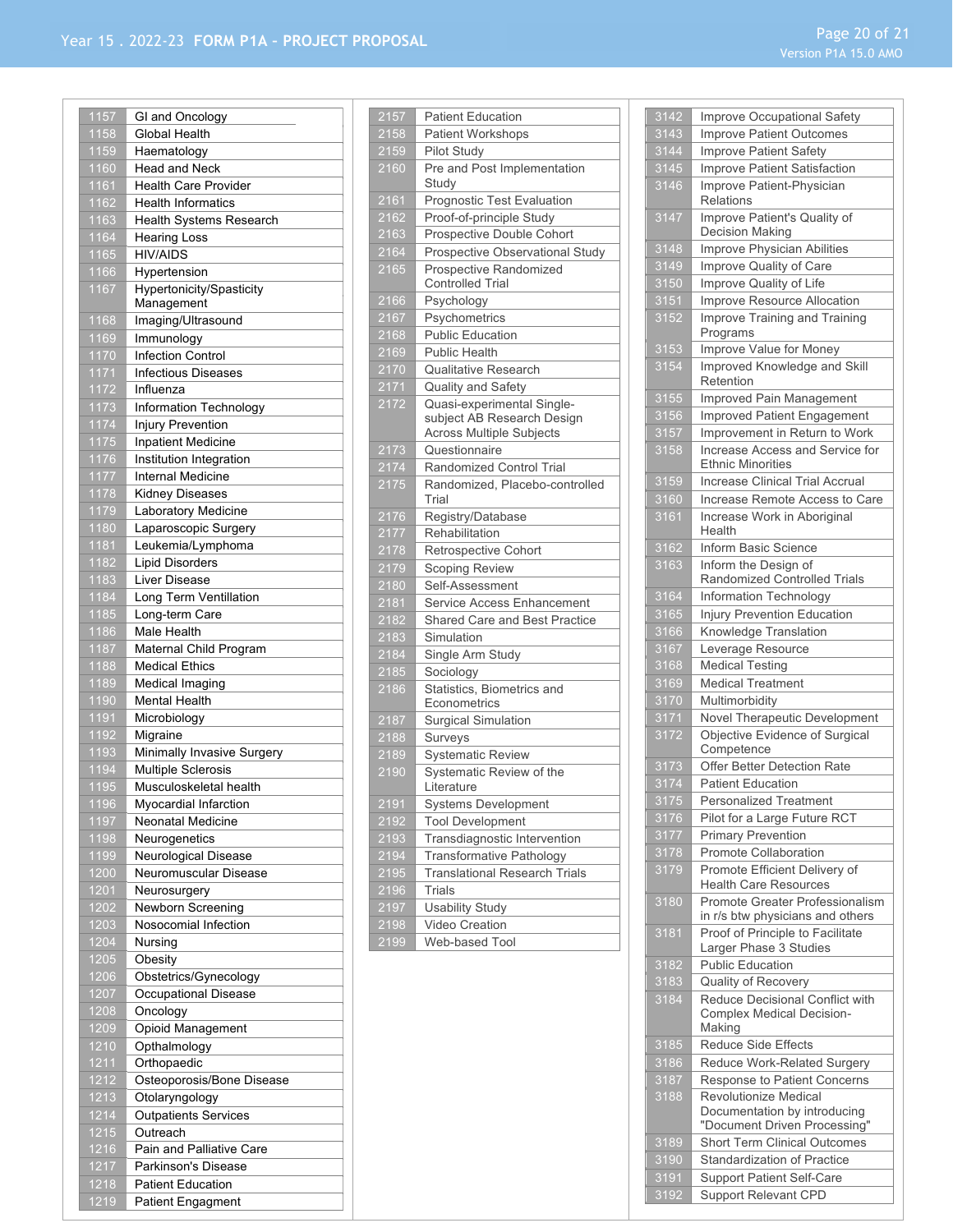| 1157 | GI and Oncology             |
|------|-----------------------------|
| 1158 | Global Health               |
| 1159 | Haematology                 |
| 1160 | <b>Head and Neck</b>        |
| 1161 | <b>Health Care Provider</b> |
| 1162 | <b>Health Informatics</b>   |
| 1163 | Health Systems Research     |
| 1164 | <b>Hearing Loss</b>         |
| 1165 | <b>HIV/AIDS</b>             |
| 1166 | Hypertension                |
| 1167 | Hypertonicity/Spasticity    |
|      | Management                  |
| 1168 | Imaging/Ultrasound          |
| 1169 | Immunology                  |
| 1170 | <b>Infection Control</b>    |
| 1171 | <b>Infectious Diseases</b>  |
| 1172 | Influenza                   |
| 1173 | Information Technology      |
| 1174 | Injury Prevention           |
| 1175 | <b>Inpatient Medicine</b>   |
| 1176 | Institution Integration     |
| 1177 | <b>Internal Medicine</b>    |
| 1178 | Kidney Diseases             |
| 1179 | Laboratory Medicine         |
| 1180 | Laparoscopic Surgery        |
| 1181 | Leukemia/Lymphoma           |
| 1182 | <b>Lipid Disorders</b>      |
| 1183 | Liver Disease               |
| 1184 | Long Term Ventillation      |
| 1185 | Long-term Care              |
| 1186 | Male Health                 |
| 1187 | Maternal Child Program      |
| 1188 | <b>Medical Ethics</b>       |
| 1189 | Medical Imaging             |
| 1190 | Mental Health               |
| 1191 | Microbiology                |
| 1192 | Migraine                    |
| 1193 | Minimally Invasive Surgery  |
| 1194 | Multiple Sclerosis          |
| 1195 | Musculoskeletal health      |
| 1196 | Myocardial Infarction       |
| 1197 | Neonatal Medicine           |
| 1198 | Neurogenetics               |
| 1199 | Neurological Disease        |
| 1200 | Neuromuscular Disease       |
| 1201 | Neurosurgery                |
| 1202 | Newborn Screening           |
| 1203 | Nosocomial Infection        |
| 1204 | Nursing                     |
| 1205 | Obesity                     |
| 1206 | Obstetrics/Gynecology       |
| 1207 | Occupational Disease        |
| 1208 | Oncology                    |
| 1209 | Opioid Management           |
| 1210 | Opthalmology                |
| 1211 | Orthopaedic                 |
| 1212 | Osteoporosis/Bone Disease   |
| 1213 | Otolaryngology              |
| 1214 | <b>Outpatients Services</b> |
| 1215 | Outreach                    |
| 1216 | Pain and Palliative Care    |
| 1217 | Parkinson's Disease         |
| 1218 | <b>Patient Education</b>    |
| 1219 | <b>Patient Engagment</b>    |

| 2157              | <b>Patient Education</b>                                      |
|-------------------|---------------------------------------------------------------|
| 2158              | Patient Workshops                                             |
| 2159              | Pilot Study                                                   |
| 2160              | Pre and Post Implementation<br>Study                          |
| 2161              | Prognostic Test Evaluation                                    |
| 2162              | Proof-of-principle Study                                      |
| 2163              | Prospective Double Cohort                                     |
| 2164              | Prospective Observational Study                               |
| 2165              | Prospective Randomized<br><b>Controlled Trial</b>             |
| 2166              | Psychology                                                    |
| 2167              | Psychometrics                                                 |
| 2168              | <b>Public Education</b>                                       |
| 2169              | <b>Public Health</b>                                          |
| 2170              | <b>Qualitative Research</b>                                   |
| 2171              | Quality and Safety                                            |
| 2172              | Quasi-experimental Single-                                    |
|                   | subject AB Research Design<br><b>Across Multiple Subjects</b> |
| 2173              | Questionnaire                                                 |
| 2174              | Randomized Control Trial                                      |
| 2175              | Randomized, Placebo-controlled                                |
|                   | Trial                                                         |
| 2176              | Registry/Database                                             |
| $\frac{1}{2}$ 177 | Rehabilitation                                                |
| 2178              | Retrospective Cohort                                          |
| 2179              | Scoping Review                                                |
| 2180              | Self-Assessment                                               |
| 2181              | Service Access Enhancement                                    |
| 2182              | Shared Care and Best Practice                                 |
| 2183              | Simulation                                                    |
| 2184              | Single Arm Study                                              |
| 2185              | Sociology                                                     |
| 2186              | Statistics, Biometrics and                                    |
|                   | Econometrics                                                  |
| 2187              | <b>Surgical Simulation</b>                                    |
| 2188              | Surveys                                                       |
| 2189              | <b>Systematic Review</b>                                      |
| 2190              | Systematic Review of the<br>Literature                        |
| 2191              | Systems Development                                           |
| 2192              | <b>Tool Development</b>                                       |
| 2193              | Transdiagnostic Intervention                                  |
| $\frac{1}{2194}$  | Transformative Pathology                                      |
| 2195              | <b>Translational Research Trials</b>                          |
| 2196              | Trials                                                        |
| 2197              | <b>Usability Study</b>                                        |
| 2198              | Video Creation                                                |
| $\frac{1}{2}$ 199 | Web-based Tool                                                |
|                   |                                                               |

| 3142              | Improve Occupational Safety                                                   |
|-------------------|-------------------------------------------------------------------------------|
| $3143$            | <b>Improve Patient Outcomes</b>                                               |
| 3144              | Improve Patient Safety                                                        |
| 3145              | Improve Patient Satisfaction                                                  |
| 3146              | Improve Patient-Physician<br><b>Relations</b>                                 |
| 3147              | Improve Patient's Quality of<br>Decision Making                               |
| 3148              | Improve Physician Abilities                                                   |
| 3149              | Improve Quality of Care                                                       |
| $\overline{3150}$ | Improve Quality of Life                                                       |
| 3151              | Improve Resource Allocation                                                   |
| 3152              | Improve Training and Training<br>Programs                                     |
| 3153              | Improve Value for Money                                                       |
| 3154              | Improved Knowledge and Skill<br>Retention                                     |
| 3155              | Improved Pain Management                                                      |
| 3156              | Improved Patient Engagement                                                   |
| 3157              | Improvement in Return to Work                                                 |
| 3158              | Increase Access and Service for<br><b>Ethnic Minorities</b>                   |
| 3159              | <b>Increase Clinical Trial Accrual</b>                                        |
| 3160              | Increase Remote Access to Care                                                |
| 3161              | Increase Work in Aboriginal<br>Health                                         |
| 3162              | Inform Basic Science                                                          |
| 3163              | Inform the Design of<br>Randomized Controlled Trials                          |
| 3164              | <b>Information Technology</b>                                                 |
| 3165              | <b>Injury Prevention Education</b>                                            |
| 3166              | Knowledge Translation                                                         |
| 3167              | Leverage Resource                                                             |
| 3168              | <b>Medical Testing</b>                                                        |
| 3169              | <b>Medical Treatment</b>                                                      |
| 3170              | Multimorbidity                                                                |
| 3171              | Novel Therapeutic Development                                                 |
| 3172              | Objective Evidence of Surgical<br>Competence                                  |
| 3173              | Offer Better Detection Rate                                                   |
| 3174              | <b>Patient Education</b>                                                      |
| 3175              | <b>Personalized Treatment</b>                                                 |
| 3176              | Pilot for a Large Future RCT                                                  |
| 3177              | <b>Primary Prevention</b>                                                     |
| 3178              | Promote Collaboration                                                         |
| 3179              | Promote Efficient Delivery of                                                 |
|                   | <b>Health Care Resources</b>                                                  |
| 3180              | Promote Greater Professionalism<br>in r/s btw physicians and others           |
| 3181              | Proof of Principle to Facilitate                                              |
|                   | Larger Phase 3 Studies                                                        |
| 3182              | <b>Public Education</b>                                                       |
| 3183              | Quality of Recovery                                                           |
| 3184              | Reduce Decisional Conflict with<br><b>Complex Medical Decision-</b><br>Making |
| 3185              | Reduce Side Effects                                                           |
| 3186              |                                                                               |
| 3187              | Reduce Work-Related Surgery                                                   |
| 3188              | Response to Patient Concerns<br><b>Revolutionize Medical</b>                  |
|                   | Documentation by introducing                                                  |
|                   | "Document Driven Processing"                                                  |
| 3189              | <b>Short Term Clinical Outcomes</b>                                           |
| 3190              | <b>Standardization of Practice</b>                                            |
| 3191              | <b>Support Patient Self-Care</b>                                              |
| 3192              | <b>Support Relevant CPD</b>                                                   |
|                   |                                                                               |